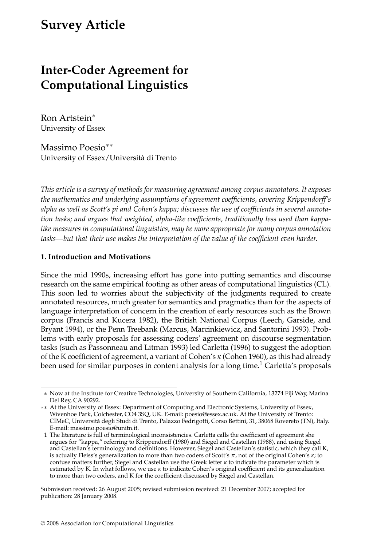# **Survey Article**

# **Inter-Coder Agreement for Computational Linguistics**

Ron Artstein<sup>∗</sup> University of Essex

Massimo Poesio∗∗ University of Essex/Universita di Trento `

*This article is a survey of methods for measuring agreement among corpus annotators. It exposes the mathematics and underlying assumptions of agreement coefficients, covering Krippendorff's* alpha as well as Scott's pi and Cohen's kappa; discusses the use of coefficients in several annotation tasks; and argues that weighted, alpha-like coefficients, traditionally less used than kappa*like measures in computational linguistics, may be more appropriate for many corpus annotation tasks—but that their use makes the interpretation of the value of the coefficient even harder.*

### **1. Introduction and Motivations**

Since the mid 1990s, increasing effort has gone into putting semantics and discourse research on the same empirical footing as other areas of computational linguistics (CL). This soon led to worries about the subjectivity of the judgments required to create annotated resources, much greater for semantics and pragmatics than for the aspects of language interpretation of concern in the creation of early resources such as the Brown corpus (Francis and Kucera 1982), the British National Corpus (Leech, Garside, and Bryant 1994), or the Penn Treebank (Marcus, Marcinkiewicz, and Santorini 1993). Problems with early proposals for assessing coders' agreement on discourse segmentation tasks (such as Passonneau and Litman 1993) led Carletta (1996) to suggest the adoption of the K coefficient of agreement, a variant of Cohen's *κ* (Cohen 1960), as this had already been used for similar purposes in content analysis for a long time.<sup>1</sup> Carletta's proposals

Submission received: 26 August 2005; revised submission received: 21 December 2007; accepted for publication: 28 January 2008.

<sup>∗</sup> Now at the Institute for Creative Technologies, University of Southern California, 13274 Fiji Way, Marina Del Rey, CA 90292.

<sup>∗∗</sup> At the University of Essex: Department of Computing and Electronic Systems, University of Essex, Wivenhoe Park, Colchester, CO4 3SQ, UK. E-mail: poesio@essex.ac.uk. At the University of Trento: CIMeC, Universita degli Studi di Trento, Palazzo Fedrigotti, Corso Bettini, 31, 38068 Rovereto (TN), Italy. ` E-mail: massimo.poesio@unitn.it.

<sup>1</sup> The literature is full of terminological inconsistencies. Carletta calls the coefficient of agreement she argues for "kappa," referring to Krippendorff (1980) and Siegel and Castellan (1988), and using Siegel and Castellan's terminology and definitions. However, Siegel and Castellan's statistic, which they call K, is actually Fleiss's generalization to more than two coders of Scott's *π*, not of the original Cohen's *κ*; to confuse matters further, Siegel and Castellan use the Greek letter *κ* to indicate the parameter which is estimated by K. In what follows, we use *κ* to indicate Cohen's original coefficient and its generalization to more than two coders, and K for the coefficient discussed by Siegel and Castellan.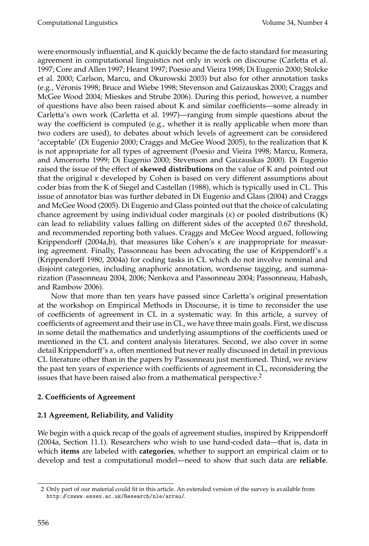were enormously influential, and K quickly became the de facto standard for measuring agreement in computational linguistics not only in work on discourse (Carletta et al. 1997; Core and Allen 1997; Hearst 1997; Poesio and Vieira 1998; Di Eugenio 2000; Stolcke et al. 2000; Carlson, Marcu, and Okurowski 2003) but also for other annotation tasks (e.g., Véronis 1998; Bruce and Wiebe 1998; Stevenson and Gaizauskas 2000; Craggs and McGee Wood 2004; Mieskes and Strube 2006). During this period, however, a number of questions have also been raised about K and similar coefficients—some already in Carletta's own work (Carletta et al. 1997)—ranging from simple questions about the way the coefficient is computed (e.g., whether it is really applicable when more than two coders are used), to debates about which levels of agreement can be considered 'acceptable' (Di Eugenio 2000; Craggs and McGee Wood 2005), to the realization that K is not appropriate for all types of agreement (Poesio and Vieira 1998; Marcu, Romera, and Amorrortu 1999; Di Eugenio 2000; Stevenson and Gaizauskas 2000). Di Eugenio raised the issue of the effect of **skewed distributions** on the value of K and pointed out that the original *κ* developed by Cohen is based on very different assumptions about coder bias from the K of Siegel and Castellan (1988), which is typically used in CL. This issue of annotator bias was further debated in Di Eugenio and Glass (2004) and Craggs and McGee Wood (2005). Di Eugenio and Glass pointed out that the choice of calculating chance agreement by using individual coder marginals (*κ*) or pooled distributions (K) can lead to reliability values falling on different sides of the accepted 0.67 threshold, and recommended reporting both values. Craggs and McGee Wood argued, following Krippendorff (2004a,b), that measures like Cohen's *κ* are inappropriate for measuring agreement. Finally, Passonneau has been advocating the use of Krippendorff's *α* (Krippendorff 1980, 2004a) for coding tasks in CL which do not involve nominal and disjoint categories, including anaphoric annotation, wordsense tagging, and summarization (Passonneau 2004, 2006; Nenkova and Passonneau 2004; Passonneau, Habash, and Rambow 2006).

Now that more than ten years have passed since Carletta's original presentation at the workshop on Empirical Methods in Discourse, it is time to reconsider the use of coefficients of agreement in CL in a systematic way. In this article, a survey of coefficients of agreement and their use in CL, we have three main goals. First, we discuss in some detail the mathematics and underlying assumptions of the coefficients used or mentioned in the CL and content analysis literatures. Second, we also cover in some detail Krippendorff's *α*, often mentioned but never really discussed in detail in previous CL literature other than in the papers by Passonneau just mentioned. Third, we review the past ten years of experience with coefficients of agreement in CL, reconsidering the issues that have been raised also from a mathematical perspective.<sup>2</sup>

# **2. Coefficients of Agreement**

# **2.1 Agreement, Reliability, and Validity**

We begin with a quick recap of the goals of agreement studies, inspired by Krippendorff (2004a, Section 11.1). Researchers who wish to use hand-coded data—that is, data in which **items** are labeled with **categories**, whether to support an empirical claim or to developand test a computational model—need to show that such data are **reliable**.

<sup>2</sup> Only part of our material could fit in this article. An extended version of the survey is available from http://cswww.essex.ac.uk/Research/nle/arrau/.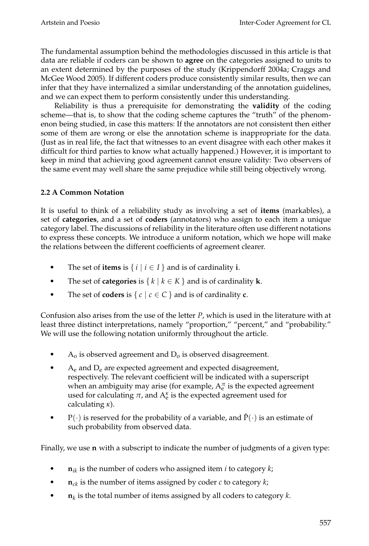The fundamental assumption behind the methodologies discussed in this article is that data are reliable if coders can be shown to **agree** on the categories assigned to units to an extent determined by the purposes of the study (Krippendorff 2004a; Craggs and McGee Wood 2005). If different coders produce consistently similar results, then we can infer that they have internalized a similar understanding of the annotation guidelines, and we can expect them to perform consistently under this understanding.

Reliability is thus a prerequisite for demonstrating the **validity** of the coding scheme—that is, to show that the coding scheme captures the "truth" of the phenomenon being studied, in case this matters: If the annotators are not consistent then either some of them are wrong or else the annotation scheme is inappropriate for the data. (Just as in real life, the fact that witnesses to an event disagree with each other makes it difficult for third parties to know what actually happened.) However, it is important to keep in mind that achieving good agreement cannot ensure validity: Two observers of the same event may well share the same prejudice while still being objectively wrong.

# **2.2 A Common Notation**

It is useful to think of a reliability study as involving a set of **items** (markables), a set of **categories**, and a set of **coders** (annotators) who assign to each item a unique category label. The discussions of reliability in the literature often use different notations to express these concepts. We introduce a uniform notation, which we hope will make the relations between the different coefficients of agreement clearer.

- The set of **items** is  $\{i \mid i \in I\}$  and is of cardinality **i**.
- The set of **categories** is  $\{k \mid k \in K\}$  and is of cardinality **k**.
- The set of **coders** is  $\{c \mid c \in C\}$  and is of cardinality **c**.

Confusion also arises from the use of the letter *P*, which is used in the literature with at least three distinct interpretations, namely "proportion," "percent," and "probability." We will use the following notation uniformly throughout the article.

- $A_0$  is observed agreement and  $D_0$  is observed disagreement.
- $\bullet$  A<sub>e</sub> and  $D_e$  are expected agreement and expected disagreement, respectively. The relevant coefficient will be indicated with a superscript when an ambiguity may arise (for example,  $A_e^{\pi}$  is the expected agreement used for calculating  $\pi$ , and  $A_e^k$  is the expected agreement used for calculating *κ*).
- $P(\cdot)$  is reserved for the probability of a variable, and  $\hat{P}(\cdot)$  is an estimate of such probability from observed data.

Finally, we use **n** with a subscript to indicate the number of judgments of a given type:

- $n_{ik}$  is the number of coders who assigned item *i* to category *k*;
- **is the number of items assigned by coder** *c* **to category** *k***;**
- $\mathbf{n}_k$  is the total number of items assigned by all coders to category  $k$ .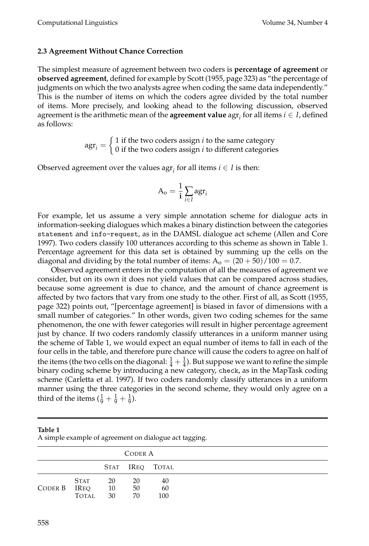### **2.3 Agreement Without Chance Correction**

The simplest measure of agreement between two coders is **percentage of agreement** or **observed agreement**, defined for example by Scott (1955, page 323) as "the percentage of judgments on which the two analysts agree when coding the same data independently." This is the number of items on which the coders agree divided by the total number of items. More precisely, and looking ahead to the following discussion, observed agreement is the arithmetic mean of the **agreement value** agr<sub>*i*</sub> for all items  $i \in I$ , defined as follows:

> $\text{agr}_i = \begin{cases} 1 \text{ if the two coders assign } i \text{ to the same category} \\ 0 \text{ if the two coders assign } i \text{ to different categorie} \end{cases}$ 0 if the two coders assign *i* to different categories

Observed agreement over the values  $\text{agr}_i$  for all items  $i \in I$  is then:

$$
A_o = \frac{1}{i} \sum_{i \in I} agr_i
$$

For example, let us assume a very simple annotation scheme for dialogue acts in information-seeking dialogues which makes a binary distinction between the categories statement and info-request, as in the DAMSL dialogue act scheme (Allen and Core 1997). Two coders classify 100 utterances according to this scheme as shown in Table 1. Percentage agreement for this data set is obtained by summing up the cells on the diagonal and dividing by the total number of items:  $A_0 = (20 + 50)/100 = 0.7$ .

Observed agreement enters in the computation of all the measures of agreement we consider, but on its own it does not yield values that can be compared across studies, because some agreement is due to chance, and the amount of chance agreement is affected by two factors that vary from one study to the other. First of all, as Scott (1955, page 322) points out, "[percentage agreement] is biased in favor of dimensions with a small number of categories." In other words, given two coding schemes for the same phenomenon, the one with fewer categories will result in higher percentage agreement just by chance. If two coders randomly classify utterances in a uniform manner using the scheme of Table 1, we would expect an equal number of items to fall in each of the four cells in the table, and therefore pure chance will cause the coders to agree on half of the items (the two cells on the diagonal:  $\frac{1}{4} + \frac{1}{4}$ ). But suppose we want to refine the simple binary coding scheme by introducing a new category, check, as in the MapTask coding scheme (Carletta et al. 1997). If two coders randomly classify utterances in a uniform manner using the three categories in the second scheme, they would only agree on a third of the items  $(\frac{1}{9} + \frac{1}{9} + \frac{1}{9})$ .

| A simple example of agreement on dialogue act tagging. |                              |                 |                |                 |  |
|--------------------------------------------------------|------------------------------|-----------------|----------------|-----------------|--|
|                                                        |                              |                 | <b>CODER A</b> |                 |  |
|                                                        |                              |                 |                | STAT IREO TOTAL |  |
| Coder B                                                | <b>STAT</b><br>IREO<br>TOTAL | -20<br>10<br>30 | 20<br>50<br>70 | 40<br>60<br>100 |  |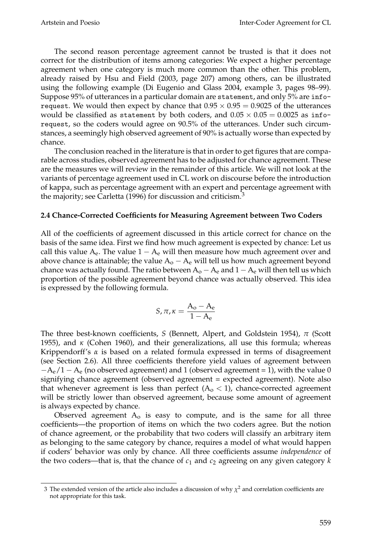The second reason percentage agreement cannot be trusted is that it does not correct for the distribution of items among categories: We expect a higher percentage agreement when one category is much more common than the other. This problem, already raised by Hsu and Field (2003, page 207) among others, can be illustrated using the following example (Di Eugenio and Glass 2004, example 3, pages 98–99). Suppose 95% of utterances in a particular domain are statement, and only 5% are inforequest. We would then expect by chance that  $0.95 \times 0.95 = 0.9025$  of the utterances would be classified as statement by both coders, and  $0.05 \times 0.05 = 0.0025$  as inforequest, so the coders would agree on 90.5% of the utterances. Under such circumstances, a seemingly high observed agreement of 90% is actually worse than expected by chance.

The conclusion reached in the literature is that in order to get figures that are comparable across studies, observed agreement has to be adjusted for chance agreement. These are the measures we will review in the remainder of this article. We will not look at the variants of percentage agreement used in CL work on discourse before the introduction of kappa, such as percentage agreement with an expert and percentage agreement with the majority; see Carletta (1996) for discussion and criticism.<sup>3</sup>

#### **2.4 Chance-Corrected Coefficients for Measuring Agreement between Two Coders**

All of the coefficients of agreement discussed in this article correct for chance on the basis of the same idea. First we find how much agreement is expected by chance: Let us call this value  $A_e$ . The value  $1 - A_e$  will then measure how much agreement over and above chance is attainable; the value  $A_0 - A_e$  will tell us how much agreement beyond chance was actually found. The ratio between  $A_0 - A_e$  and  $1 - A_e$  will then tell us which proportion of the possible agreement beyond chance was actually observed. This idea is expressed by the following formula.

$$
\textit{S},\pi,\kappa=\frac{A_o-A_e}{1-A_e}
$$

The three best-known coefficients, *S* (Bennett, Alpert, and Goldstein 1954), *π* (Scott 1955), and *κ* (Cohen 1960), and their generalizations, all use this formula; whereas Krippendorff's *α* is based on a related formula expressed in terms of disagreement (see Section 2.6). All three coefficients therefore yield values of agreement between  $-A_e/1-A_e$  (no observed agreement) and 1 (observed agreement = 1), with the value 0 signifying chance agreement (observed agreement = expected agreement). Note also that whenever agreement is less than perfect  $(A_0 < 1)$ , chance-corrected agreement will be strictly lower than observed agreement, because some amount of agreement is always expected by chance.

Observed agreement  $A_0$  is easy to compute, and is the same for all three coefficients—the proportion of items on which the two coders agree. But the notion of chance agreement, or the probability that two coders will classify an arbitrary item as belonging to the same category by chance, requires a model of what would happen if coders' behavior was only by chance. All three coefficients assume *independence* of the two coders—that is, that the chance of  $c_1$  and  $c_2$  agreeing on any given category  $k$ 

<sup>3</sup> The extended version of the article also includes a discussion of why  $\chi^2$  and correlation coefficients are not appropriate for this task.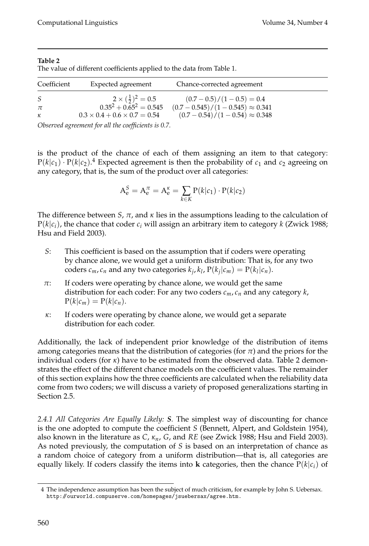| Table 2                                                               |
|-----------------------------------------------------------------------|
| The value of different coefficients applied to the data from Table 1. |

| Coefficient | Expected agreement                                       | Chance-corrected agreement                  |  |
|-------------|----------------------------------------------------------|---------------------------------------------|--|
| S           | $2 \times (\frac{1}{2})^2 = 0.5$                         | $(0.7-0.5)/(1-0.5)=0.4$                     |  |
| $\pi$       | $0.35^2 + 0.65^2 = 0.545$                                | $(0.7 - 0.545) / (1 - 0.545) \approx 0.341$ |  |
| ĸ           | $0.3 \times 0.4 + 0.6 \times 0.7 = 0.54$                 | $(0.7-0.54)/(1-0.54) \approx 0.348$         |  |
|             | $O$ bearned government for all the coefficients is $0.7$ |                                             |  |

*Observed agreement for all the coefficients is 0.7.*

is the product of the chance of each of them assigning an item to that category:  $P(k|c_1) \cdot P(k|c_2)$ .<sup>4</sup> Expected agreement is then the probability of  $c_1$  and  $c_2$  agreeing on any category, that is, the sum of the product over all categories:

$$
A_e^S = A_e^{\pi} = A_e^{\kappa} = \sum_{k \in K} P(k|c_1) \cdot P(k|c_2)
$$

The difference between *S*, *π*, and *κ* lies in the assumptions leading to the calculation of  $P(k|c_i)$ , the chance that coder  $c_i$  will assign an arbitrary item to category *k* (Zwick 1988; Hsu and Field 2003).

- *S*: This coefficient is based on the assumption that if coders were operating by chance alone, we would get a uniform distribution: That is, for any two coders  $c_m$ ,  $c_n$  and any two categories  $k_i$ ,  $k_l$ ,  $P(k_i|c_m) = P(k_l|c_n)$ .
- *π*: If coders were operating by chance alone, we would get the same distribution for each coder: For any two coders *cm*, *cn* and any category *k*,  $P(k|c_m) = P(k|c_n).$
- *κ*: If coders were operating by chance alone, we would get a separate distribution for each coder.

Additionally, the lack of independent prior knowledge of the distribution of items among categories means that the distribution of categories (for *π*) and the priors for the individual coders (for *κ*) have to be estimated from the observed data. Table 2 demonstrates the effect of the different chance models on the coefficient values. The remainder of this section explains how the three coefficients are calculated when the reliability data come from two coders; we will discuss a variety of proposed generalizations starting in Section 2.5.

*2.4.1 All Categories Are Equally Likely: S.* The simplest way of discounting for chance is the one adopted to compute the coefficient *S* (Bennett, Alpert, and Goldstein 1954), also known in the literature as *C*, *κn*, *G*, and *RE* (see Zwick 1988; Hsu and Field 2003). As noted previously, the computation of *S* is based on an interpretation of chance as a random choice of category from a uniform distribution—that is, all categories are equally likely. If coders classify the items into **k** categories, then the chance  $P(k|c_i)$  of

<sup>4</sup> The independence assumption has been the subject of much criticism, for example by John S. Uebersax. http://ourworld.compuserve.com/homepages/jsuebersax/agree.htm.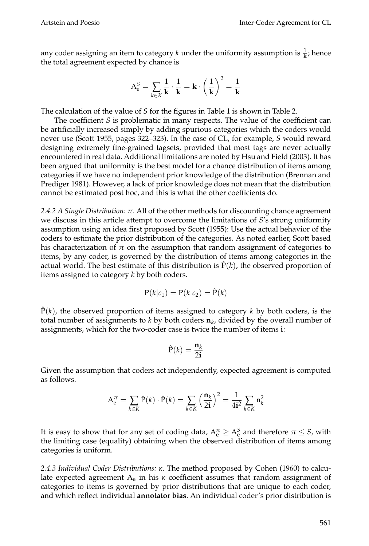any coder assigning an item to category  $k$  under the uniformity assumption is  $\frac{1}{k}$ ; hence the total agreement expected by chance is

$$
A_e^S = \sum_{k \in K} \frac{1}{k} \cdot \frac{1}{k} = k \cdot \left(\frac{1}{k}\right)^2 = \frac{1}{k}
$$

The calculation of the value of *S* for the figures in Table 1 is shown in Table 2.

The coefficient *S* is problematic in many respects. The value of the coefficient can be artificially increased simply by adding spurious categories which the coders would never use (Scott 1955, pages 322–323). In the case of CL, for example, *S* would reward designing extremely fine-grained tagsets, provided that most tags are never actually encountered in real data. Additional limitations are noted by Hsu and Field (2003). It has been argued that uniformity is the best model for a chance distribution of items among categories if we have no independent prior knowledge of the distribution (Brennan and Prediger 1981). However, a lack of prior knowledge does not mean that the distribution cannot be estimated post hoc, and this is what the other coefficients do.

*2.4.2 A Single Distribution: π.* All of the other methods for discounting chance agreement we discuss in this article attempt to overcome the limitations of *S*'s strong uniformity assumption using an idea first proposed by Scott (1955): Use the actual behavior of the coders to estimate the prior distribution of the categories. As noted earlier, Scott based his characterization of  $\pi$  on the assumption that random assignment of categories to items, by any coder, is governed by the distribution of items among categories in the actual world. The best estimate of this distribution is  $\hat{P}(k)$ , the observed proportion of items assigned to category *k* by both coders.

$$
P(k|c_1) = P(k|c_2) = \hat{P}(k)
$$

 $\hat{P}(k)$ , the observed proportion of items assigned to category k by both coders, is the total number of assignments to *k* by both coders  $n_k$ , divided by the overall number of assignments, which for the two-coder case is twice the number of items **i**:

$$
\hat{\mathrm{P}}(k) = \frac{\mathbf{n}_k}{2\mathbf{i}}
$$

Given the assumption that coders act independently, expected agreement is computed as follows.

$$
A_e^{\pi} = \sum_{k \in K} \hat{P}(k) \cdot \hat{P}(k) = \sum_{k \in K} \left(\frac{\mathbf{n}_k}{2\mathbf{i}}\right)^2 = \frac{1}{4\mathbf{i}^2} \sum_{k \in K} \mathbf{n}_k^2
$$

It is easy to show that for any set of coding data,  $A_e^{\pi} \ge A_e^S$  and therefore  $\pi \le S$ , with the limiting case (equality) obtaining when the observed distribution of items among categories is uniform.

*2.4.3 Individual Coder Distributions: κ.* The method proposed by Cohen (1960) to calculate expected agreement  $A_e$  in his  $\kappa$  coefficient assumes that random assignment of categories to items is governed by prior distributions that are unique to each coder, and which reflect individual **annotator bias**. An individual coder's prior distribution is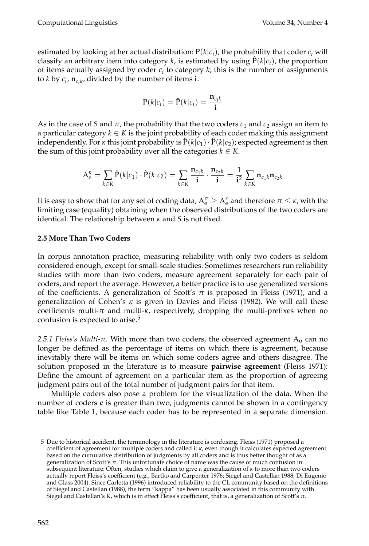estimated by looking at her actual distribution:  $P(k|c_i)$ , the probability that coder  $c_i$  will classify an arbitrary item into category *k*, is estimated by using  $\hat{P}(k|c_i)$ , the proportion of items actually assigned by coder  $c_i$  to category  $k$ ; this is the number of assignments to *k* by  $c_i$ ,  $\mathbf{n}_{c,k}$ , divided by the number of items **i**.

$$
P(k|c_i) = \hat{P}(k|c_i) = \frac{n_{c_i k}}{i}
$$

As in the case of *S* and  $\pi$ , the probability that the two coders  $c_1$  and  $c_2$  assign an item to a particular category  $k \in K$  is the joint probability of each coder making this assignment independently. For *κ* this joint probability is  $\hat{P}(k|c_1) \cdot \hat{P}(k|c_2)$ ; expected agreement is then the sum of this joint probability over all the categories  $k \in K$ .

$$
A_e^{\kappa} = \sum_{k \in K} \hat{P}(k|c_1) \cdot \hat{P}(k|c_2) = \sum_{k \in K} \frac{n_{c_1 k}}{i} \cdot \frac{n_{c_2 k}}{i} = \frac{1}{i^2} \sum_{k \in K} n_{c_1 k} n_{c_2 k}
$$

It is easy to show that for any set of coding data,  $A_e^{\pi} \ge A_e^{\kappa}$  and therefore  $\pi \le \kappa$ , with the limiting case (equality) obtaining when the observed distributions of the two coders are identical. The relationship between  $\kappa$  and  $S$  is not fixed.

#### **2.5 More Than Two Coders**

In corpus annotation practice, measuring reliability with only two coders is seldom considered enough, except for small-scale studies. Sometimes researchers run reliability studies with more than two coders, measure agreement separately for each pair of coders, and report the average. However, a better practice is to use generalized versions of the coefficients. A generalization of Scott's *π* is proposed in Fleiss (1971), and a generalization of Cohen's *κ* is given in Davies and Fleiss (1982). We will call these coefficients multi-*π* and multi-*κ*, respectively, dropping the multi-prefixes when no confusion is expected to arise.<sup>5</sup>

2.5.1 Fleiss's Multi- $π$ . With more than two coders, the observed agreement  $A_0$  can no longer be defined as the percentage of items on which there is agreement, because inevitably there will be items on which some coders agree and others disagree. The solution proposed in the literature is to measure **pairwise agreement** (Fleiss 1971): Define the amount of agreement on a particular item as the proportion of agreeing judgment pairs out of the total number of judgment pairs for that item.

Multiple coders also pose a problem for the visualization of the data. When the number of coders **c** is greater than two, judgments cannot be shown in a contingency table like Table 1, because each coder has to be represented in a separate dimension.

<sup>5</sup> Due to historical accident, the terminology in the literature is confusing. Fleiss (1971) proposed a coefficient of agreement for multiple coders and called it *κ*, even though it calculates expected agreement based on the cumulative distribution of judgments by all coders and is thus better thought of as a generalization of Scott's *π*. This unfortunate choice of name was the cause of much confusion in subsequent literature: Often, studies which claim to give a generalization of *κ* to more than two coders actually report Fleiss's coefficient (e.g., Bartko and Carpenter 1976; Siegel and Castellan 1988; Di Eugenio and Glass 2004). Since Carletta (1996) introduced reliability to the CL community based on the definitions of Siegel and Castellan (1988), the term "kappa" has been usually associated in this community with Siegel and Castellan's K, which is in effect Fleiss's coefficient, that is, a generalization of Scott's *π*.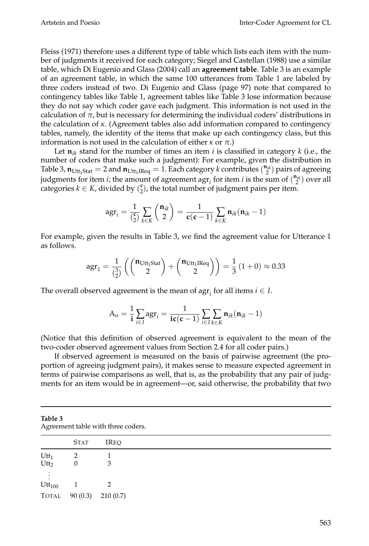**Table 3**

Fleiss (1971) therefore uses a different type of table which lists each item with the number of judgments it received for each category; Siegel and Castellan (1988) use a similar table, which Di Eugenio and Glass (2004) call an **agreement table**. Table 3 is an example of an agreement table, in which the same 100 utterances from Table 1 are labeled by three coders instead of two. Di Eugenio and Glass (page 97) note that compared to contingency tables like Table 1, agreement tables like Table 3 lose information because they do not say which coder gave each judgment. This information is not used in the calculation of  $\pi$ , but is necessary for determining the individual coders' distributions in the calculation of *κ*. (Agreement tables also add information compared to contingency tables, namely, the identity of the items that make up each contingency class, but this information is not used in the calculation of either  $\kappa$  or  $\pi$ .)

Let  $\mathbf{n}_{ik}$  stand for the number of times an item *i* is classified in category *k* (i.e., the number of coders that make such a judgment): For example, given the distribution in Table 3,  $n_{Utt_1Stat} = 2$  and  $n_{Utt_1IReq} = 1$ . Each category *k* contributes  $\binom{n_{ik}}{2}$  pairs of agreeing judgments for item *i*; the amount of agreement  $\arg r_i$  for item *i* is the sum of  $\binom{n_{ik}}{2}$  over all categories  $k \in K$ , divided by  $\binom{c}{2}$ , the total number of judgment pairs per item.

$$
\text{agr}_i = \frac{1}{\binom{c}{2}} \sum_{k \in K} \binom{\textbf{n}_{ik}}{2} = \frac{1}{\textbf{c}(\textbf{c}-1)} \sum_{k \in K} \textbf{n}_{ik}(\textbf{n}_{ik}-1)
$$

For example, given the results in Table 3, we find the agreement value for Utterance 1 as follows.

$$
agr_1 = \frac{1}{\binom{3}{2}} \left( \binom{\mathbf{n}_{Utt_1Stat}}{2} + \binom{\mathbf{n}_{Utt_1IReq}}{2} \right) = \frac{1}{3} \left( 1 + 0 \right) \approx 0.33
$$

The overall observed agreement is the mean of agr<sub>*i*</sub> for all items  $i \in I$ .

$$
A_{o} = \frac{1}{i} \sum_{i \in I} agr_{i} = \frac{1}{ic(c-1)} \sum_{i \in I} \sum_{k \in K} n_{ik} (n_{ik} - 1)
$$

(Notice that this definition of observed agreement is equivalent to the mean of the two-coder observed agreement values from Section 2.4 for all coder pairs.)

If observed agreement is measured on the basis of pairwise agreement (the proportion of agreeing judgment pairs), it makes sense to measure expected agreement in terms of pairwise comparisons as well, that is, as the probability that any pair of judgments for an item would be in agreement—or, said otherwise, the probability that two

|                    | Agreement table with three coders. |                          |  |  |  |  |  |
|--------------------|------------------------------------|--------------------------|--|--|--|--|--|
|                    | <b>STAT</b>                        | <b>IREQ</b>              |  |  |  |  |  |
|                    | 2                                  |                          |  |  |  |  |  |
| $Utt_1$<br>$Utt_2$ | $\mathbf{0}$                       | 3                        |  |  |  |  |  |
| $Utt_{100}$        | $\overline{1}$                     | 2                        |  |  |  |  |  |
|                    |                                    | TOTAL 90 (0.3) 210 (0.7) |  |  |  |  |  |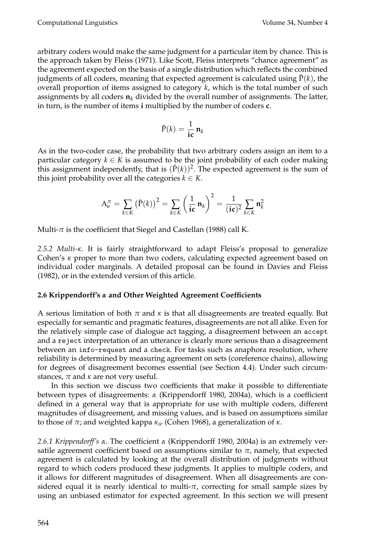arbitrary coders would make the same judgment for a particular item by chance. This is the approach taken by Fleiss (1971). Like Scott, Fleiss interprets "chance agreement" as the agreement expected on the basis of a single distribution which reflects the combined judgments of all coders, meaning that expected agreement is calculated using  $\hat{P}(k)$ , the overall proportion of items assigned to category *k*, which is the total number of such assignments by all coders  $\mathbf{n}_k$  divided by the overall number of assignments. The latter, in turn, is the number of items **i** multiplied by the number of coders **c**.

$$
\hat{\mathrm{P}}(k) = \frac{1}{\mathbf{i} \mathbf{c}} \, \mathbf{n}_k
$$

As in the two-coder case, the probability that two arbitrary coders assign an item to a particular category  $k \in K$  is assumed to be the joint probability of each coder making this assignment independently, that is  $(\hat{P}(k))^2$ . The expected agreement is the sum of this joint probability over all the categories  $k \in K$ .

$$
A_e^{\pi} = \sum_{k \in K} (\hat{P}(k))^2 = \sum_{k \in K} \left(\frac{1}{ic} n_k\right)^2 = \frac{1}{(ic)^2} \sum_{k \in K} n_k^2
$$

Multi-*π* is the coefficient that Siegel and Castellan (1988) call K.

*2.5.2 Multi-κ.* It is fairly straightforward to adapt Fleiss's proposal to generalize Cohen's *κ* proper to more than two coders, calculating expected agreement based on individual coder marginals. A detailed proposal can be found in Davies and Fleiss (1982), or in the extended version of this article.

### **2.6 Krippendorff's** *α* **and Other Weighted Agreement Coefficients**

A serious limitation of both  $\pi$  and  $\kappa$  is that all disagreements are treated equally. But especially for semantic and pragmatic features, disagreements are not all alike. Even for the relatively simple case of dialogue act tagging, a disagreement between an accept and a reject interpretation of an utterance is clearly more serious than a disagreement between an info-request and a check. For tasks such as anaphora resolution, where reliability is determined by measuring agreement on sets (coreference chains), allowing for degrees of disagreement becomes essential (see Section 4.4). Under such circumstances,  $\pi$  and  $\kappa$  are not very useful.

In this section we discuss two coefficients that make it possible to differentiate between types of disagreements: *α* (Krippendorff 1980, 2004a), which is a coefficient defined in a general way that is appropriate for use with multiple coders, different magnitudes of disagreement, and missing values, and is based on assumptions similar to those of *π*; and weighted kappa *κw* (Cohen 1968), a generalization of *κ*.

*2.6.1 Krippendorff's α.* The coefficient *α* (Krippendorff 1980, 2004a) is an extremely versatile agreement coefficient based on assumptions similar to  $\pi$ , namely, that expected agreement is calculated by looking at the overall distribution of judgments without regard to which coders produced these judgments. It applies to multiple coders, and it allows for different magnitudes of disagreement. When all disagreements are considered equal it is nearly identical to multi- $\pi$ , correcting for small sample sizes by using an unbiased estimator for expected agreement. In this section we will present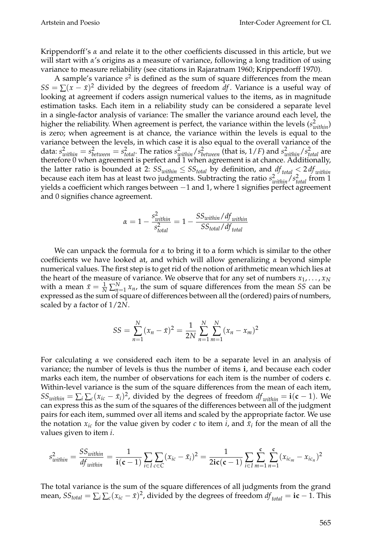Krippendorff's *α* and relate it to the other coefficients discussed in this article, but we will start with *α*'s origins as a measure of variance, following a long tradition of using variance to measure reliability (see citations in Rajaratnam 1960; Krippendorff 1970).

A sample's variance  $s^2$  is defined as the sum of square differences from the mean  $SS = \sum (x - \bar{x})^2$  divided by the degrees of freedom *df*. Variance is a useful way of looking at agreement if coders assign numerical values to the items, as in magnitude estimation tasks. Each item in a reliability study can be considered a separate level in a single-factor analysis of variance: The smaller the variance around each level, the higher the reliability. When agreement is perfect, the variance within the levels  $(s^2_{within})$ is zero; when agreement is at chance, the variance within the levels is equal to the variance between the levels, in which case it is also equal to the overall variance of the data:  $s^2_{within} = s^2_{between} = s^2_{total}$ . The ratios  $s^2_{within}/s^2_{between}$  (that is,  $1/F$ ) and  $s^2_{within}/s^2_{total}$  are therefore 0 when agreement is perfect and 1 when agreement is at chance. Additionally, the latter ratio is bounded at 2:  $SS_{within} \leq SS_{total}$  by definition, and  $df_{total} \leq 2 df_{within}$ because each item has at least two judgments. Subtracting the ratio  $s^2_{within}/s^2_{total}$  from 1 yields a coefficient which ranges between −1 and 1, where 1 signifies perfect agreement and 0 signifies chance agreement.

$$
\alpha = 1 - \frac{s_{within}^2}{s_{total}^2} = 1 - \frac{SS_{within}/df_{within}}{SS_{total}/df_{total}}
$$

We can unpack the formula for *α* to bring it to a form which is similar to the other coefficients we have looked at, and which will allow generalizing *α* beyond simple numerical values. The first stepis to get rid of the notion of arithmetic mean which lies at the heart of the measure of variance. We observe that for any set of numbers  $x_1, \ldots, x_N$ with a mean  $\bar{x} = \frac{1}{N} \sum_{n=1}^{N} x_n$ , the sum of square differences from the mean *SS* can be expressed as the sum of square of differences between all the (ordered) pairs of numbers, scaled by a factor of 1/2*N*.

$$
SS = \sum_{n=1}^{N} (x_n - \bar{x})^2 = \frac{1}{2N} \sum_{n=1}^{N} \sum_{m=1}^{N} (x_n - x_m)^2
$$

For calculating *α* we considered each item to be a separate level in an analysis of variance; the number of levels is thus the number of items **i**, and because each coder marks each item, the number of observations for each item is the number of coders **c**. Within-level variance is the sum of the square differences from the mean of each item,  $SS_{within} = \sum_i \sum_c (x_{ic} - \bar{x}_i)^2$ , divided by the degrees of freedom  $df_{within} = \mathbf{i}(\mathbf{c} - 1)$ . We can express this as the sum of the squares of the differences between all of the judgment pairs for each item, summed over all items and scaled by the appropriate factor. We use the notation  $x_{ic}$  for the value given by coder *c* to item *i*, and  $\bar{x}_i$  for the mean of all the values given to item *i*.

$$
s_{within}^2 = \frac{SS_{within}}{df_{within}} = \frac{1}{\mathbf{i}(\mathbf{c}-1)} \sum_{i \in I} \sum_{c \in C} (x_{ic} - \bar{x}_i)^2 = \frac{1}{2\mathbf{i}(\mathbf{c} - 1)} \sum_{i \in I} \sum_{m=1}^{\mathbf{c}} \sum_{n=1}^{\mathbf{c}} (x_{ic_m} - x_{ic_n})^2
$$

The total variance is the sum of the square differences of all judgments from the grand mean,  $SS_{total} = \sum_{i} \sum_{c} (x_{ic} - \bar{x})^2$ , divided by the degrees of freedom  $df_{total} = i\mathbf{c} - 1$ . This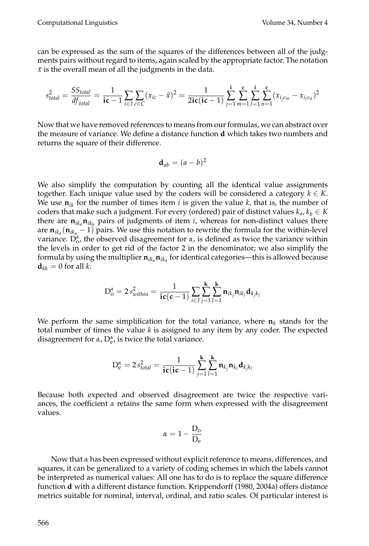can be expressed as the sum of the squares of the differences between all of the judgments pairs without regard to items, again scaled by the appropriate factor. The notation  $\bar{x}$  is the overall mean of all the judgments in the data.

$$
s_{total}^2 = \frac{SS_{total}}{df_{total}} = \frac{1}{\mathbf{i}\mathbf{c} - 1} \sum_{i \in I} \sum_{c \in C} (x_{ic} - \bar{x})^2 = \frac{1}{2\mathbf{i}\mathbf{c}(\mathbf{i}\mathbf{c} - 1)} \sum_{j=1}^{\mathbf{i}} \sum_{m=1}^{\mathbf{c}} \sum_{l=1}^{\mathbf{i}} \sum_{n=1}^{\mathbf{c}} (x_{i_jc_m} - x_{i_lc_n})^2
$$

Now that we have removed references to means from our formulas, we can abstract over the measure of variance. We define a distance function **d** which takes two numbers and returns the square of their difference.

$$
\mathbf{d}_{ab}=(a-b)^2
$$

We also simplify the computation by counting all the identical value assignments together. Each unique value used by the coders will be considered a category  $k \in K$ . We use **n***ik* for the number of times item *i* is given the value *k*, that is, the number of coders that make such a judgment. For every (ordered) pair of distinct values  $k_a, k_b \in K$ there are  $\mathbf{n}_{ik_a}\mathbf{n}_{ik_b}$  pairs of judgments of item *i*, whereas for non-distinct values there are  $\mathbf{n}_{ik_a}(\mathbf{n}_{ik_a}-1)$  pairs. We use this notation to rewrite the formula for the within-level variance.  $\vec{D}_{\alpha}^{\alpha}$ , the observed disagreement for  $\alpha$ , is defined as twice the variance within the levels in order to get rid of the factor 2 in the denominator; we also simplify the formula by using the multiplier  $\mathbf{n}_{ik_a}\mathbf{n}_{ik_a}$  for identical categories—this is allowed because  **for all** *k***.** 

$$
D_{{\scriptscriptstyle{O}}}^{\alpha}=2\,s_{{\scriptscriptstyle{within}}}^2=\frac{1}{\mathbf{i} {\mathbf{c}}({\mathbf{c}}-1)}\sum_{i\in I}\sum_{j=1}^{\mathbf{k}}\sum_{l=1}^{\mathbf{k}}{\mathbf{n}}_{ik_j}{\mathbf{n}}_{ik_l}{\mathbf{d}}_{k_jk_l}
$$

We perform the same simplification for the total variance, where  $n_k$  stands for the total number of times the value *k* is assigned to any item by any coder. The expected disagreement for  $\alpha$ ,  $D_e^{\alpha}$ , is twice the total variance.

$$
D_e^{\alpha} = 2 s_{total}^2 = \frac{1}{ic(ic-1)} \sum_{j=1}^k \sum_{l=1}^k \mathbf{n}_{k_j} \mathbf{n}_{k_l} \mathbf{d}_{k_j k_l}
$$

Because both expected and observed disagreement are twice the respective variances, the coefficient  $\alpha$  retains the same form when expressed with the disagreement values.

$$
\alpha=1-\frac{D_o}{D_e}
$$

Now that *α* has been expressed without explicit reference to means, differences, and squares, it can be generalized to a variety of coding schemes in which the labels cannot be interpreted as numerical values: All one has to do is to replace the square difference function **d** with a different distance function. Krippendorff (1980, 2004a) offers distance metrics suitable for nominal, interval, ordinal, and ratio scales. Of particular interest is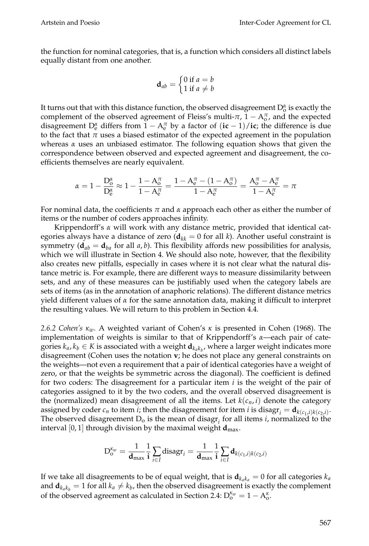the function for nominal categories, that is, a function which considers all distinct labels equally distant from one another.

$$
\mathbf{d}_{ab} = \begin{cases} 0 \text{ if } a = b \\ 1 \text{ if } a \neq b \end{cases}
$$

It turns out that with this distance function, the observed disagreement  $D_0^{\alpha}$  is exactly the complement of the observed agreement of Fleiss's multi- $\pi$ ,  $1 - A_0^{\pi}$ , and the expected disagreement  $D_e^{\alpha}$  differs from  $1 - A_e^{\pi}$  by a factor of  $(i\mathbf{c} - 1)/i\mathbf{c}$ ; the difference is due to the fact that  $\pi$  uses a biased estimator of the expected agreement in the population whereas  $\alpha$  uses an unbiased estimator. The following equation shows that given the correspondence between observed and expected agreement and disagreement, the coefficients themselves are nearly equivalent.

$$
\alpha = 1 - \frac{D_0^{\alpha}}{D_e^{\alpha}} \approx 1 - \frac{1 - A_0^{\pi}}{1 - A_e^{\pi}} = \frac{1 - A_e^{\pi} - (1 - A_0^{\pi})}{1 - A_e^{\pi}} = \frac{A_0^{\pi} - A_e^{\pi}}{1 - A_e^{\pi}} = \pi
$$

For nominal data, the coefficients  $\pi$  and  $\alpha$  approach each other as either the number of items or the number of coders approaches infinity.

Krippendorff's *α* will work with any distance metric, provided that identical categories always have a distance of zero  $(\mathbf{d}_{kk} = 0 \text{ for all } k)$ . Another useful constraint is symmetry ( $\mathbf{d}_{ab} = \mathbf{d}_{ba}$  for all *a*, *b*). This flexibility affords new possibilities for analysis, which we will illustrate in Section 4. We should also note, however, that the flexibility also creates new pitfalls, especially in cases where it is not clear what the natural distance metric is. For example, there are different ways to measure dissimilarity between sets, and any of these measures can be justifiably used when the category labels are sets of items (as in the annotation of anaphoric relations). The different distance metrics yield different values of *α* for the same annotation data, making it difficult to interpret the resulting values. We will return to this problem in Section 4.4.

*2.6.2 Cohen's κw.* A weighted variant of Cohen's *κ* is presented in Cohen (1968). The implementation of weights is similar to that of Krippendorff's *α*—each pair of categories  $k_a, k_b \in K$  is associated with a weight  $\mathbf{d}_{k_a k_b}$ , where a larger weight indicates more disagreement (Cohen uses the notation **v**; he does not place any general constraints on the weights—not even a requirement that a pair of identical categories have a weight of zero, or that the weights be symmetric across the diagonal). The coefficient is defined for two coders: The disagreement for a particular item *i* is the weight of the pair of categories assigned to it by the two coders, and the overall observed disagreement is the (normalized) mean disagreement of all the items. Let  $k(c_n, i)$  denote the category assigned by coder  $c_n$  to item *i*; then the disagreement for item *i* is disagr<sub>*i*</sub> =  $\mathbf{d}_{k(c_1,i)k(c_2,i)}$ . The observed disagreement  $D_0$  is the mean of disagr<sub>*i*</sub> for all items *i*, normalized to the interval  $[0, 1]$  through division by the maximal weight  $d_{\text{max}}$ .

$$
\mathsf{D}_\mathsf{o}^{\mathcal{K}_w} = \frac{1}{\mathbf{d}_{\max}} \frac{1}{\mathbf{i}} \sum_{i \in I} \text{disagr}_i = \frac{1}{\mathbf{d}_{\max}} \frac{1}{\mathbf{i}} \sum_{i \in I} \mathbf{d}_{k(c_1, i)k(c_2, i)}
$$

If we take all disagreements to be of equal weight, that is  $\mathbf{d}_{k_a k_a} = 0$  for all categories  $k_a$ and  $\mathbf{d}_{k_{a}k_{b}} = 1$  for all  $k_{a} \neq k_{b}$ , then the observed disagreement is exactly the complement of the observed agreement as calculated in Section 2.4:  $D_0^{\kappa_w} = 1 - A_0^{\kappa_w}$ .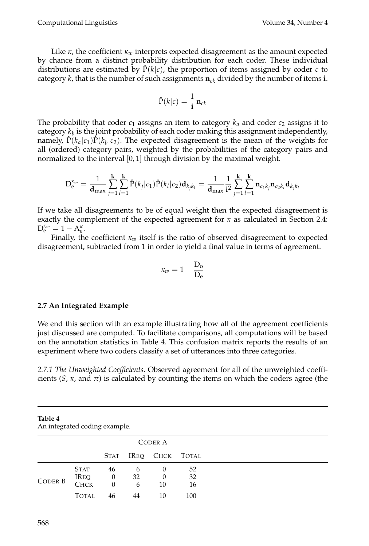Like  $\kappa$ , the coefficient  $\kappa_w$  interprets expected disagreement as the amount expected by chance from a distinct probability distribution for each coder. These individual distributions are estimated by  $\hat{P}(k|c)$ , the proportion of items assigned by coder *c* to category *k*, that is the number of such assignments **n***ck* divided by the number of items **i**.

$$
\hat{P}(k|c) = \frac{1}{i} \, \mathbf{n}_{ck}
$$

The probability that coder  $c_1$  assigns an item to category  $k_a$  and coder  $c_2$  assigns it to category  $k_b$  is the joint probability of each coder making this assignment independently, namely,  $\hat{P}(k_a|c_1)\hat{P}(k_b|c_2)$ . The expected disagreement is the mean of the weights for all (ordered) category pairs, weighted by the probabilities of the category pairs and normalized to the interval [0, 1] through division by the maximal weight.

$$
\mathsf{D}_{\mathrm{e}}^{\kappa_w} = \frac{1}{\mathbf{d}_{\max}} \sum_{j=1}^{\mathbf{k}} \sum_{l=1}^{\mathbf{k}} \hat{\mathrm{P}}(k_j | c_1) \hat{\mathrm{P}}(k_l | c_2) \mathbf{d}_{k_j k_l} = \frac{1}{\mathbf{d}_{\max}} \frac{1}{\mathbf{i}^2} \sum_{j=1}^{\mathbf{k}} \sum_{l=1}^{\mathbf{k}} \mathbf{n}_{c_1 k_j} \mathbf{n}_{c_2 k_l} \mathbf{d}_{k_j k_l}
$$

If we take all disagreements to be of equal weight then the expected disagreement is exactly the complement of the expected agreement for *κ* as calculated in Section 2.4:  $D_{e}^{\kappa_{w}} = 1 - A_{e}^{\kappa}.$ 

Finally, the coefficient  $\kappa_w$  itself is the ratio of observed disagreement to expected disagreement, subtracted from 1 in order to yield a final value in terms of agreement.

$$
\kappa_w = 1 - \frac{D_o}{D_e}
$$

#### **2.7 An Integrated Example**

We end this section with an example illustrating how all of the agreement coefficients just discussed are computed. To facilitate comparisons, all computations will be based on the annotation statistics in Table 4. This confusion matrix reports the results of an experiment where two coders classify a set of utterances into three categories.

*2.7.1 The Unweighted Coefficients.* Observed agreement for all of the unweighted coefficients  $(S, \kappa, \text{ and } \pi)$  is calculated by counting the items on which the coders agree (the

| An integrated coding example. |                             |                                  |              |                |                      |  |  |
|-------------------------------|-----------------------------|----------------------------------|--------------|----------------|----------------------|--|--|
|                               |                             |                                  |              | <b>CODER A</b> |                      |  |  |
|                               |                             |                                  |              |                | STAT IREO CHCK TOTAL |  |  |
| <b>CODER B</b>                | <b>STAT</b><br>IREQ<br>Chck | 46<br>$\overline{0}$<br>$\Omega$ | 6<br>32<br>6 | 0<br>0<br>10   | 52<br>32<br>16       |  |  |
|                               | <b>TOTAL</b>                | 46                               | 44           | 10             | 100                  |  |  |

**Table 4**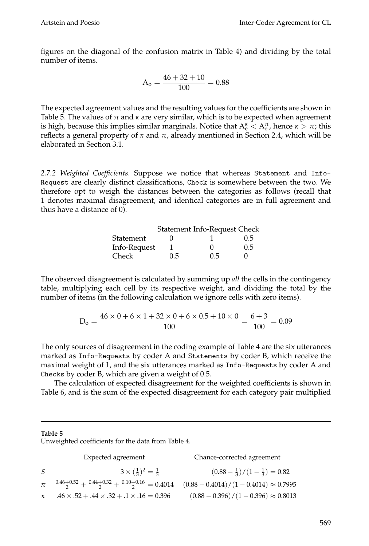figures on the diagonal of the confusion matrix in Table 4) and dividing by the total number of items.

$$
A_o = \frac{46 + 32 + 10}{100} = 0.88
$$

The expected agreement values and the resulting values for the coefficients are shown in Table 5. The values of *π* and *κ* are very similar, which is to be expected when agreement is high, because this implies similar marginals. Notice that  $A_e^{\kappa} < A_e^{\pi}$ , hence  $\kappa > \pi$ ; this reflects a general property of *κ* and  $π$ , already mentioned in Section 2.4, which will be elaborated in Section 3.1.

*2.7.2 Weighted Coefficients.* Suppose we notice that whereas Statement and Info-Request are clearly distinct classifications, Check is somewhere between the two. We therefore opt to weigh the distances between the categories as follows (recall that 1 denotes maximal disagreement, and identical categories are in full agreement and thus have a distance of 0).

|              |               | Statement Info-Request Check |     |
|--------------|---------------|------------------------------|-----|
| Statement    |               |                              | 0.5 |
| Info-Request |               | $\mathbf{0}$                 | 0.5 |
| Check        | $0.5^{\circ}$ | 0.5                          |     |

The observed disagreement is calculated by summing up *all* the cells in the contingency table, multiplying each cell by its respective weight, and dividing the total by the number of items (in the following calculation we ignore cells with zero items).

$$
D_0 = \frac{46 \times 0 + 6 \times 1 + 32 \times 0 + 6 \times 0.5 + 10 \times 0}{100} = \frac{6 + 3}{100} = 0.09
$$

The only sources of disagreement in the coding example of Table 4 are the six utterances marked as Info-Requests by coder A and Statements by coder B, which receive the maximal weight of 1, and the six utterances marked as Info-Requests by coder A and Checks by coder B, which are given a weight of 0.5.

The calculation of expected disagreement for the weighted coefficients is shown in Table 6, and is the sum of the expected disagreement for each category pair multiplied

#### **Table 5**

Unweighted coefficients for the data from Table 4.

|   | Expected agreement                                                                                                       | Chance-corrected agreement                      |  |
|---|--------------------------------------------------------------------------------------------------------------------------|-------------------------------------------------|--|
| S | $3 \times (\frac{1}{3})^2 = \frac{1}{3}$                                                                                 | $(0.88 - \frac{1}{3})/(1 - \frac{1}{3}) = 0.82$ |  |
|   | $\pi \frac{0.46+0.52}{2} + \frac{0.44+0.32}{2} + \frac{0.10+0.16}{2} = 0.4014$ $(0.88-0.4014)/(1-0.4014) \approx 0.7995$ |                                                 |  |
|   | $\kappa$ .46 $\times$ .52 + .44 $\times$ .32 + .1 $\times$ .16 = 0.396                                                   | $(0.88 - 0.396) / (1 - 0.396) \approx 0.8013$   |  |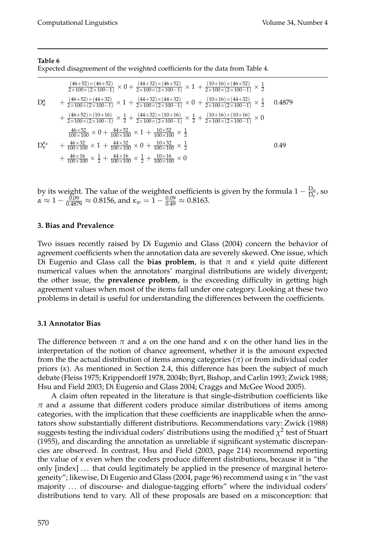#### **Table 6**

Expected disagreement of the weighted coefficients for the data from Table 4.

|                       | $\frac{(46+52)\times(46+52)}{2\times100\times(2\times100-1)}\times0+\frac{(44+32)\times(46+52)}{2\times100\times(2\times100-1)}\times1+\frac{(10+16)\times(46+52)}{2\times100\times(2\times100-1)}\times\frac{1}{2}$                   |      |
|-----------------------|----------------------------------------------------------------------------------------------------------------------------------------------------------------------------------------------------------------------------------------|------|
| $D_{\alpha}^{\alpha}$ | $+\frac{(46+52)\times(44+32)}{2\times100\times(2\times100-1)} \times 1 + \frac{(44+32)\times(44+32)}{2\times100\times(2\times100-1)} \times 0 + \frac{(10+16)\times(44+32)}{2\times100\times(2\times100-1)} \times \frac{1}{2}$ 0.4879 |      |
|                       | $+\tfrac{(46+52)\times(10+16)}{2\times100\times(2\times100-1)}\times\tfrac{1}{2}+\tfrac{(44+32)\times(10+16)}{2\times100\times(2\times100-1)}\times\tfrac{1}{2}+\tfrac{(10+16)\times(10+16)}{2\times100\times(2\times100-1)}\times0$   |      |
|                       | $\frac{46\times52}{100\times100}\times0+\frac{44\times52}{100\times100}\times1+\frac{10\times52}{100\times100}\times\frac{1}{2}$                                                                                                       |      |
| $D_{\rho}^{\kappa_w}$ | $+\frac{46\times32}{100\times100}\times1+\frac{44\times32}{100\times100}\times0+\frac{10\times32}{100\times100}\times\frac{1}{2}$                                                                                                      | 0.49 |
|                       | $+\frac{46\times16}{100\times100}\times\frac{1}{2}+\frac{44\times16}{100\times100}\times\frac{1}{2}+\frac{10\times16}{100\times100}\times0$                                                                                            |      |

by its weight. The value of the weighted coefficients is given by the formula  $1 - \frac{D_0}{D_e}$ , so  $\alpha \approx 1 - \frac{0.09}{0.4879} \approx 0.8156$ , and  $\kappa_w = 1 - \frac{0.09}{0.49} \approx 0.8163$ .

#### **3. Bias and Prevalence**

Two issues recently raised by Di Eugenio and Glass (2004) concern the behavior of agreement coefficients when the annotation data are severely skewed. One issue, which Di Eugenio and Glass call the **bias problem**, is that *π* and *κ* yield quite different numerical values when the annotators' marginal distributions are widely divergent; the other issue, the **prevalence problem**, is the exceeding difficulty in getting high agreement values when most of the items fall under one category. Looking at these two problems in detail is useful for understanding the differences between the coefficients.

#### **3.1 Annotator Bias**

The difference between  $\pi$  and  $\alpha$  on the one hand and  $\kappa$  on the other hand lies in the interpretation of the notion of chance agreement, whether it is the amount expected from the the actual distribution of items among categories (*π*) or from individual coder priors (*κ*). As mentioned in Section 2.4, this difference has been the subject of much debate (Fleiss 1975; Krippendorff 1978, 2004b; Byrt, Bishop, and Carlin 1993; Zwick 1988; Hsu and Field 2003; Di Eugenio and Glass 2004; Craggs and McGee Wood 2005).

A claim often repeated in the literature is that single-distribution coefficients like *π* and *α* assume that different coders produce similar distributions of items among categories, with the implication that these coefficients are inapplicable when the annotators show substantially different distributions. Recommendations vary: Zwick (1988) suggests testing the individual coders' distributions using the modified  $\chi^2$  test of Stuart (1955), and discarding the annotation as unreliable if significant systematic discrepancies are observed. In contrast, Hsu and Field (2003, page 214) recommend reporting the value of *κ* even when the coders produce different distributions, because it is "the only [index] ... that could legitimately be applied in the presence of marginal heterogeneity"; likewise, Di Eugenio and Glass (2004, page 96) recommend using *κ* in "the vast majority ... of discourse- and dialogue-tagging efforts" where the individual coders' distributions tend to vary. All of these proposals are based on a misconception: that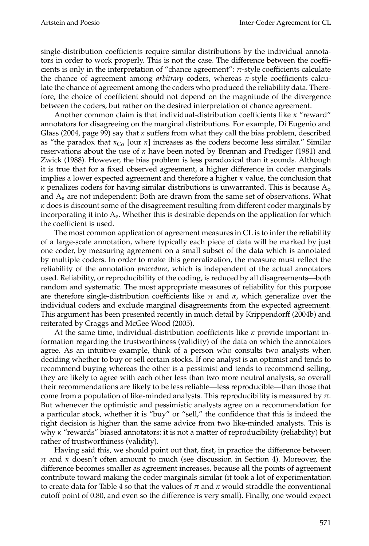single-distribution coefficients require similar distributions by the individual annotators in order to work properly. This is not the case. The difference between the coefficients is only in the interpretation of "chance agreement": *π*-style coefficients calculate the chance of agreement among *arbitrary* coders, whereas *κ*-style coefficients calculate the chance of agreement among the coders who produced the reliability data. Therefore, the choice of coefficient should not depend on the magnitude of the divergence between the coders, but rather on the desired interpretation of chance agreement.

Another common claim is that individual-distribution coefficients like *κ* "reward" annotators for disagreeing on the marginal distributions. For example, Di Eugenio and Glass (2004, page 99) say that *κ* suffers from what they call the bias problem, described as "the paradox that  $\kappa_{\text{Co}}$  [our  $\kappa$ ] increases as the coders become less similar." Similar reservations about the use of *κ* have been noted by Brennan and Prediger (1981) and Zwick (1988). However, the bias problem is less paradoxical than it sounds. Although it is true that for a fixed observed agreement, a higher difference in coder marginals implies a lower expected agreement and therefore a higher *κ* value, the conclusion that *κ* penalizes coders for having similar distributions is unwarranted. This is because  $A_0$ and  $A_e$  are not independent: Both are drawn from the same set of observations. What *κ* does is discount some of the disagreement resulting from different coder marginals by incorporating it into  $A_e$ . Whether this is desirable depends on the application for which the coefficient is used.

The most common application of agreement measures in CL is to infer the reliability of a large-scale annotation, where typically each piece of data will be marked by just one coder, by measuring agreement on a small subset of the data which is annotated by multiple coders. In order to make this generalization, the measure must reflect the reliability of the annotation *procedure*, which is independent of the actual annotators used. Reliability, or reproducibility of the coding, is reduced by all disagreements—both random and systematic. The most appropriate measures of reliability for this purpose are therefore single-distribution coefficients like  $\pi$  and  $\alpha$ , which generalize over the individual coders and exclude marginal disagreements from the expected agreement. This argument has been presented recently in much detail by Krippendorff (2004b) and reiterated by Craggs and McGee Wood (2005).

At the same time, individual-distribution coefficients like *κ* provide important information regarding the trustworthiness (validity) of the data on which the annotators agree. As an intuitive example, think of a person who consults two analysts when deciding whether to buy or sell certain stocks. If one analyst is an optimist and tends to recommend buying whereas the other is a pessimist and tends to recommend selling, they are likely to agree with each other less than two more neutral analysts, so overall their recommendations are likely to be less reliable—less reproducible—than those that come from a population of like-minded analysts. This reproducibility is measured by  $\pi$ . But whenever the optimistic and pessimistic analysts agree on a recommendation for a particular stock, whether it is "buy" or "sell," the confidence that this is indeed the right decision is higher than the same advice from two like-minded analysts. This is why *κ* "rewards" biased annotators: it is not a matter of reproducibility (reliability) but rather of trustworthiness (validity).

Having said this, we should point out that, first, in practice the difference between  $\pi$  and  $\kappa$  doesn't often amount to much (see discussion in Section 4). Moreover, the difference becomes smaller as agreement increases, because all the points of agreement contribute toward making the coder marginals similar (it took a lot of experimentation to create data for Table 4 so that the values of  $\pi$  and  $\kappa$  would straddle the conventional cutoff point of 0.80, and even so the difference is very small). Finally, one would expect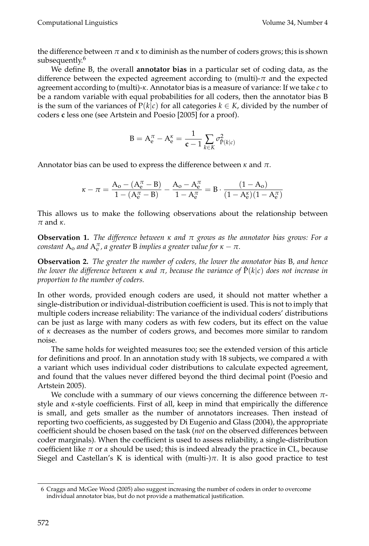the difference between  $\pi$  and  $\kappa$  to diminish as the number of coders grows; this is shown subsequently.<sup>6</sup>

We define B, the overall **annotator bias** in a particular set of coding data, as the difference between the expected agreement according to (multi)-*π* and the expected agreement according to (multi)-*κ*. Annotator bias is a measure of variance: If we take *c* to be a random variable with equal probabilities for all coders, then the annotator bias B is the sum of the variances of  $P(k|c)$  for all categories  $k \in K$ , divided by the number of coders **c** less one (see Artstein and Poesio [2005] for a proof).

$$
\mathbf{B} = \mathbf{A}_{\mathbf{e}}^{\pi} - \mathbf{A}_{\mathbf{e}}^{\kappa} = \frac{1}{\mathbf{c} - 1} \sum_{k \in K} \sigma_{\hat{\mathbf{P}}(k|c)}^2
$$

Annotator bias can be used to express the difference between *κ* and *π*.

$$
\kappa-\pi = \frac{A_o - (A_e^{\pi} - B)}{1-(A_e^{\pi} - B)} - \frac{A_o - A_e^{\pi}}{1-A_e^{\pi}} = B \cdot \frac{(1-A_o)}{(1-A_e^{\pi})(1-A_e^{\pi})}
$$

This allows us to make the following observations about the relationship between *π* and *κ*.

**Observation 1.** *The difference between κ and π grows as the annotator bias grows: For a*  $\alpha$  *constant*  $A_o$  *and*  $A_e^{\pi}$ *, a greater* B *implies a greater value for*  $\kappa - \pi$ *.* 

**Observation 2.** *The greater the number of coders, the lower the annotator bias* B*, and hence the lower the difference between κ and*  $\pi$ , *because the variance of*  $\dot{P}(k|c)$  *does not increase in proportion to the number of coders.*

In other words, provided enough coders are used, it should not matter whether a single-distribution or individual-distribution coefficient is used. This is not to imply that multiple coders increase reliability: The variance of the individual coders' distributions can be just as large with many coders as with few coders, but its effect on the value of *κ* decreases as the number of coders grows, and becomes more similar to random noise.

The same holds for weighted measures too; see the extended version of this article for definitions and proof. In an annotation study with 18 subjects, we compared *α* with a variant which uses individual coder distributions to calculate expected agreement, and found that the values never differed beyond the third decimal point (Poesio and Artstein 2005).

We conclude with a summary of our views concerning the difference between *π*style and *κ*-style coefficients. First of all, keepin mind that empirically the difference is small, and gets smaller as the number of annotators increases. Then instead of reporting two coefficients, as suggested by Di Eugenio and Glass (2004), the appropriate coefficient should be chosen based on the task (*not* on the observed differences between coder marginals). When the coefficient is used to assess reliability, a single-distribution coefficient like  $\pi$  or  $\alpha$  should be used; this is indeed already the practice in CL, because Siegel and Castellan's K is identical with (multi-) $π$ . It is also good practice to test

<sup>6</sup> Craggs and McGee Wood (2005) also suggest increasing the number of coders in order to overcome individual annotator bias, but do not provide a mathematical justification.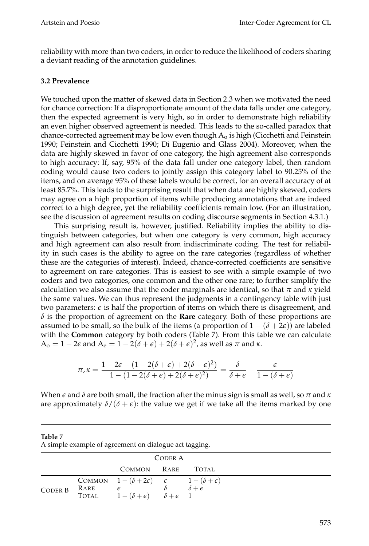reliability with more than two coders, in order to reduce the likelihood of coders sharing a deviant reading of the annotation guidelines.

### **3.2 Prevalence**

We touched upon the matter of skewed data in Section 2.3 when we motivated the need for chance correction: If a disproportionate amount of the data falls under one category, then the expected agreement is very high, so in order to demonstrate high reliability an even higher observed agreement is needed. This leads to the so-called paradox that chance-corrected agreement may be low even though  $A_0$  is high (Cicchetti and Feinstein 1990; Feinstein and Cicchetti 1990; Di Eugenio and Glass 2004). Moreover, when the data are highly skewed in favor of one category, the high agreement also corresponds to high accuracy: If, say, 95% of the data fall under one category label, then random coding would cause two coders to jointly assign this category label to 90.25% of the items, and on average 95% of these labels would be correct, for an overall accuracy of at least 85.7%. This leads to the surprising result that when data are highly skewed, coders may agree on a high proportion of items while producing annotations that are indeed correct to a high degree, yet the reliability coefficients remain low. (For an illustration, see the discussion of agreement results on coding discourse segments in Section 4.3.1.)

This surprising result is, however, justified. Reliability implies the ability to distinguish between categories, but when one category is very common, high accuracy and high agreement can also result from indiscriminate coding. The test for reliability in such cases is the ability to agree on the rare categories (regardless of whether these are the categories of interest). Indeed, chance-corrected coefficients are sensitive to agreement on rare categories. This is easiest to see with a simple example of two coders and two categories, one common and the other one rare; to further simplify the calculation we also assume that the coder marginals are identical, so that  $\pi$  and  $\kappa$  yield the same values. We can thus represent the judgments in a contingency table with just two parameters:  $\epsilon$  is half the proportion of items on which there is disagreement, and *δ* is the proportion of agreement on the **Rare** category. Both of these proportions are assumed to be small, so the bulk of the items (a proportion of  $1 - (\delta + 2\epsilon)$ ) are labeled with the **Common** category by both coders (Table 7). From this table we can calculate  $A_0 = 1 - 2\epsilon$  and  $A_e = 1 - 2(\delta + \epsilon) + 2(\delta + \epsilon)^2$ , as well as  $\pi$  and  $\kappa$ .

$$
\pi, \kappa = \frac{1 - 2\epsilon - (1 - 2(\delta + \epsilon) + 2(\delta + \epsilon)^2)}{1 - (1 - 2(\delta + \epsilon) + 2(\delta + \epsilon)^2)} = \frac{\delta}{\delta + \epsilon} - \frac{\epsilon}{1 - (\delta + \epsilon)}
$$

When  $\epsilon$  and  $\delta$  are both small, the fraction after the minus sign is small as well, so  $\pi$  and  $\kappa$ are approximately  $\delta/(\delta + \epsilon)$ : the value we get if we take all the items marked by one

| Table 7        | A simple example of agreement on dialogue act tagging. |                                                                                                                                                   |                |       |  |  |  |
|----------------|--------------------------------------------------------|---------------------------------------------------------------------------------------------------------------------------------------------------|----------------|-------|--|--|--|
|                |                                                        |                                                                                                                                                   | <b>CODER A</b> |       |  |  |  |
|                |                                                        | COMMON                                                                                                                                            | RARE           | TOTAL |  |  |  |
| <b>CODER B</b> | RARE $\epsilon$                                        | COMMON $1-(\delta+2\epsilon)$ $\epsilon$ $1-(\delta+\epsilon)$<br>$\delta$ $\delta + \epsilon$<br>TOTAL $1-(\delta+\epsilon)$ $\delta+\epsilon$ 1 |                |       |  |  |  |

573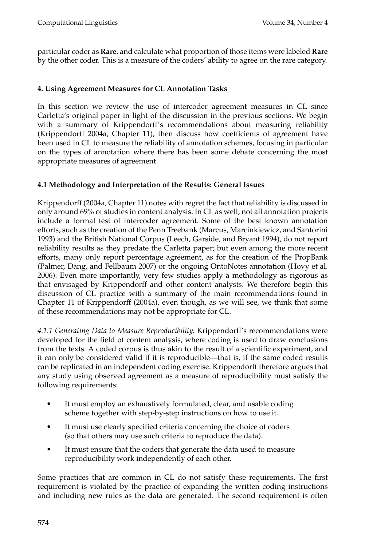particular coder as **Rare**, and calculate what proportion of those items were labeled **Rare** by the other coder. This is a measure of the coders' ability to agree on the rare category.

# **4. Using Agreement Measures for CL Annotation Tasks**

In this section we review the use of intercoder agreement measures in CL since Carletta's original paper in light of the discussion in the previous sections. We begin with a summary of Krippendorff's recommendations about measuring reliability (Krippendorff 2004a, Chapter 11), then discuss how coefficients of agreement have been used in CL to measure the reliability of annotation schemes, focusing in particular on the types of annotation where there has been some debate concerning the most appropriate measures of agreement.

# **4.1 Methodology and Interpretation of the Results: General Issues**

Krippendorff (2004a, Chapter 11) notes with regret the fact that reliability is discussed in only around 69% of studies in content analysis. In CL as well, not all annotation projects include a formal test of intercoder agreement. Some of the best known annotation efforts, such as the creation of the Penn Treebank (Marcus, Marcinkiewicz, and Santorini 1993) and the British National Corpus (Leech, Garside, and Bryant 1994), do not report reliability results as they predate the Carletta paper; but even among the more recent efforts, many only report percentage agreement, as for the creation of the PropBank (Palmer, Dang, and Fellbaum 2007) or the ongoing OntoNotes annotation (Hovy et al. 2006). Even more importantly, very few studies apply a methodology as rigorous as that envisaged by Krippendorff and other content analysts. We therefore begin this discussion of CL practice with a summary of the main recommendations found in Chapter 11 of Krippendorff (2004a), even though, as we will see, we think that some of these recommendations may not be appropriate for CL.

*4.1.1 Generating Data to Measure Reproducibility.* Krippendorff's recommendations were developed for the field of content analysis, where coding is used to draw conclusions from the texts. A coded corpus is thus akin to the result of a scientific experiment, and it can only be considered valid if it is reproducible—that is, if the same coded results can be replicated in an independent coding exercise. Krippendorff therefore argues that any study using observed agreement as a measure of reproducibility must satisfy the following requirements:

- It must employ an exhaustively formulated, clear, and usable coding scheme together with step-by-step instructions on how to use it.
- It must use clearly specified criteria concerning the choice of coders (so that others may use such criteria to reproduce the data).
- It must ensure that the coders that generate the data used to measure reproducibility work independently of each other.

Some practices that are common in CL do not satisfy these requirements. The first requirement is violated by the practice of expanding the written coding instructions and including new rules as the data are generated. The second requirement is often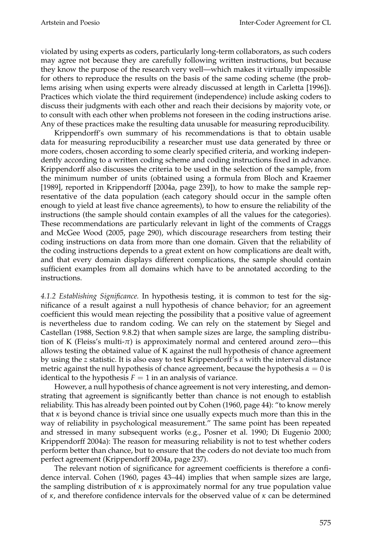violated by using experts as coders, particularly long-term collaborators, as such coders may agree not because they are carefully following written instructions, but because they know the purpose of the research very well—which makes it virtually impossible for others to reproduce the results on the basis of the same coding scheme (the problems arising when using experts were already discussed at length in Carletta [1996]). Practices which violate the third requirement (independence) include asking coders to discuss their judgments with each other and reach their decisions by majority vote, or to consult with each other when problems not foreseen in the coding instructions arise. Any of these practices make the resulting data unusable for measuring reproducibility.

Krippendorff's own summary of his recommendations is that to obtain usable data for measuring reproducibility a researcher must use data generated by three or more coders, chosen according to some clearly specified criteria, and working independently according to a written coding scheme and coding instructions fixed in advance. Krippendorff also discusses the criteria to be used in the selection of the sample, from the minimum number of units (obtained using a formula from Bloch and Kraemer [1989], reported in Krippendorff [2004a, page 239]), to how to make the sample representative of the data population (each category should occur in the sample often enough to yield at least five chance agreements), to how to ensure the reliability of the instructions (the sample should contain examples of all the values for the categories). These recommendations are particularly relevant in light of the comments of Craggs and McGee Wood (2005, page 290), which discourage researchers from testing their coding instructions on data from more than one domain. Given that the reliability of the coding instructions depends to a great extent on how complications are dealt with, and that every domain displays different complications, the sample should contain sufficient examples from all domains which have to be annotated according to the instructions.

*4.1.2 Establishing Significance.* In hypothesis testing, it is common to test for the significance of a result against a null hypothesis of chance behavior; for an agreement coefficient this would mean rejecting the possibility that a positive value of agreement is nevertheless due to random coding. We can rely on the statement by Siegel and Castellan (1988, Section 9.8.2) that when sample sizes are large, the sampling distribution of K (Fleiss's multi- $\pi$ ) is approximately normal and centered around zero—this allows testing the obtained value of K against the null hypothesis of chance agreement by using the *z* statistic. It is also easy to test Krippendorff's *α* with the interval distance metric against the null hypothesis of chance agreement, because the hypothesis  $\alpha = 0$  is identical to the hypothesis  $F = 1$  in an analysis of variance.

However, a null hypothesis of chance agreement is not very interesting, and demonstrating that agreement is significantly better than chance is not enough to establish reliability. This has already been pointed out by Cohen (1960, page 44): "to know merely that  $\kappa$  is beyond chance is trivial since one usually expects much more than this in the way of reliability in psychological measurement." The same point has been repeated and stressed in many subsequent works (e.g., Posner et al. 1990; Di Eugenio 2000; Krippendorff 2004a): The reason for measuring reliability is not to test whether coders perform better than chance, but to ensure that the coders do not deviate too much from perfect agreement (Krippendorff 2004a, page 237).

The relevant notion of significance for agreement coefficients is therefore a confidence interval. Cohen (1960, pages 43–44) implies that when sample sizes are large, the sampling distribution of  $\kappa$  is approximately normal for any true population value of *κ*, and therefore confidence intervals for the observed value of *κ* can be determined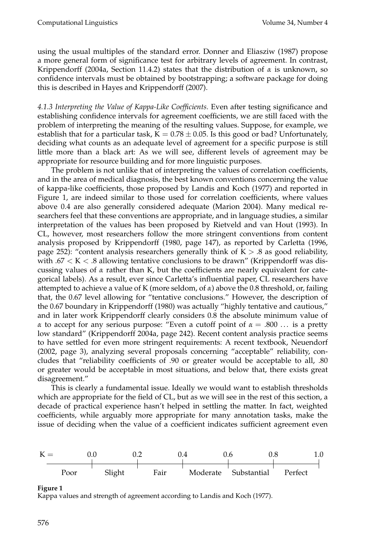using the usual multiples of the standard error. Donner and Eliasziw (1987) propose a more general form of significance test for arbitrary levels of agreement. In contrast, Krippendorff (2004a, Section 11.4.2) states that the distribution of *α* is unknown, so confidence intervals must be obtained by bootstrapping; a software package for doing this is described in Hayes and Krippendorff (2007).

*4.1.3 Interpreting the Value of Kappa-Like Coefficients.* Even after testing significance and establishing confidence intervals for agreement coefficients, we are still faced with the problem of interpreting the meaning of the resulting values. Suppose, for example, we establish that for a particular task,  $K = 0.78 \pm 0.05$ . Is this good or bad? Unfortunately, deciding what counts as an adequate level of agreement for a specific purpose is still little more than a black art: As we will see, different levels of agreement may be appropriate for resource building and for more linguistic purposes.

The problem is not unlike that of interpreting the values of correlation coefficients, and in the area of medical diagnosis, the best known conventions concerning the value of kappa-like coefficients, those proposed by Landis and Koch (1977) and reported in Figure 1, are indeed similar to those used for correlation coefficients, where values above 0.4 are also generally considered adequate (Marion 2004). Many medical researchers feel that these conventions are appropriate, and in language studies, a similar interpretation of the values has been proposed by Rietveld and van Hout (1993). In CL, however, most researchers follow the more stringent conventions from content analysis proposed by Krippendorff (1980, page 147), as reported by Carletta (1996, page 252): "content analysis researchers generally think of  $K > 0.8$  as good reliability, with  $.67 < K < .8$  allowing tentative conclusions to be drawn" (Krippendorff was discussing values of *α* rather than K, but the coefficients are nearly equivalent for categorical labels). As a result, ever since Carletta's influential paper, CL researchers have attempted to achieve a value of K (more seldom, of *α*) above the 0.8 threshold, or, failing that, the 0.67 level allowing for "tentative conclusions." However, the description of the 0.67 boundary in Krippendorff (1980) was actually "highly tentative and cautious," and in later work Krippendorff clearly considers 0.8 the absolute minimum value of *α* to accept for any serious purpose: "Even a cutoff point of  $\alpha = .800$  ... is a pretty low standard" (Krippendorff 2004a, page 242). Recent content analysis practice seems to have settled for even more stringent requirements: A recent textbook, Neuendorf (2002, page 3), analyzing several proposals concerning "acceptable" reliability, concludes that "reliability coefficients of .90 or greater would be acceptable to all, .80 or greater would be acceptable in most situations, and below that, there exists great disagreement."

This is clearly a fundamental issue. Ideally we would want to establish thresholds which are appropriate for the field of CL, but as we will see in the rest of this section, a decade of practical experience hasn't helped in settling the matter. In fact, weighted coefficients, while arguably more appropriate for many annotation tasks, make the issue of deciding when the value of a coefficient indicates sufficient agreement even



**Figure 1**

Kappa values and strength of agreement according to Landis and Koch (1977).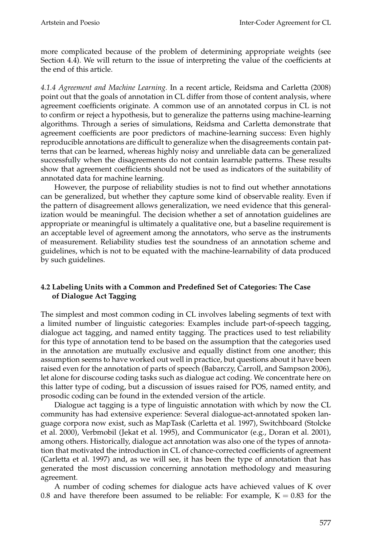more complicated because of the problem of determining appropriate weights (see Section 4.4). We will return to the issue of interpreting the value of the coefficients at the end of this article.

*4.1.4 Agreement and Machine Learning.* In a recent article, Reidsma and Carletta (2008) point out that the goals of annotation in CL differ from those of content analysis, where agreement coefficients originate. A common use of an annotated corpus in CL is not to confirm or reject a hypothesis, but to generalize the patterns using machine-learning algorithms. Through a series of simulations, Reidsma and Carletta demonstrate that agreement coefficients are poor predictors of machine-learning success: Even highly reproducible annotations are difficult to generalize when the disagreements contain patterns that can be learned, whereas highly noisy and unreliable data can be generalized successfully when the disagreements do not contain learnable patterns. These results show that agreement coefficients should not be used as indicators of the suitability of annotated data for machine learning.

However, the purpose of reliability studies is not to find out whether annotations can be generalized, but whether they capture some kind of observable reality. Even if the pattern of disagreement allows generalization, we need evidence that this generalization would be meaningful. The decision whether a set of annotation guidelines are appropriate or meaningful is ultimately a qualitative one, but a baseline requirement is an acceptable level of agreement among the annotators, who serve as the instruments of measurement. Reliability studies test the soundness of an annotation scheme and guidelines, which is not to be equated with the machine-learnability of data produced by such guidelines.

# **4.2 Labeling Units with a Common and Predefined Set of Categories: The Case of Dialogue Act Tagging**

The simplest and most common coding in CL involves labeling segments of text with a limited number of linguistic categories: Examples include part-of-speech tagging, dialogue act tagging, and named entity tagging. The practices used to test reliability for this type of annotation tend to be based on the assumption that the categories used in the annotation are mutually exclusive and equally distinct from one another; this assumption seems to have worked out well in practice, but questions about it have been raised even for the annotation of parts of speech (Babarczy, Carroll, and Sampson 2006), let alone for discourse coding tasks such as dialogue act coding. We concentrate here on this latter type of coding, but a discussion of issues raised for POS, named entity, and prosodic coding can be found in the extended version of the article.

Dialogue act tagging is a type of linguistic annotation with which by now the CL community has had extensive experience: Several dialogue-act-annotated spoken language corpora now exist, such as MapTask (Carletta et al. 1997), Switchboard (Stolcke et al. 2000), Verbmobil (Jekat et al. 1995), and Communicator (e.g., Doran et al. 2001), among others. Historically, dialogue act annotation was also one of the types of annotation that motivated the introduction in CL of chance-corrected coefficients of agreement (Carletta et al. 1997) and, as we will see, it has been the type of annotation that has generated the most discussion concerning annotation methodology and measuring agreement.

A number of coding schemes for dialogue acts have achieved values of K over 0.8 and have therefore been assumed to be reliable: For example,  $K = 0.83$  for the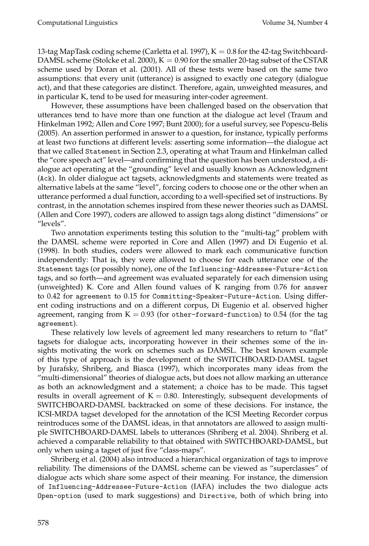13-tag MapTask coding scheme (Carletta et al. 1997),  $K = 0.8$  for the 42-tag Switchboard-DAMSL scheme (Stolcke et al. 2000),  $K = 0.90$  for the smaller 20-tag subset of the CSTAR scheme used by Doran et al. (2001). All of these tests were based on the same two assumptions: that every unit (utterance) is assigned to exactly one category (dialogue act), and that these categories are distinct. Therefore, again, unweighted measures, and in particular K, tend to be used for measuring inter-coder agreement.

However, these assumptions have been challenged based on the observation that utterances tend to have more than one function at the dialogue act level (Traum and Hinkelman 1992; Allen and Core 1997; Bunt 2000); for a useful survey, see Popescu-Belis (2005). An assertion performed in answer to a question, for instance, typically performs at least two functions at different levels: asserting some information—the dialogue act that we called Statement in Section 2.3, operating at what Traum and Hinkelman called the "core speech act" level—and confirming that the question has been understood, a dialogue act operating at the "grounding" level and usually known as Acknowledgment (Ack). In older dialogue act tagsets, acknowledgments and statements were treated as alternative labels at the same "level", forcing coders to choose one or the other when an utterance performed a dual function, according to a well-specified set of instructions. By contrast, in the annotation schemes inspired from these newer theories such as DAMSL (Allen and Core 1997), coders are allowed to assign tags along distinct "dimensions" or "levels".

Two annotation experiments testing this solution to the "multi-tag" problem with the DAMSL scheme were reported in Core and Allen (1997) and Di Eugenio et al. (1998). In both studies, coders were allowed to mark each communicative function independently: That is, they were allowed to choose for each utterance one of the Statement tags (or possibly none), one of the Influencing-Addressee-Future-Action tags, and so forth—and agreement was evaluated separately for each dimension using (unweighted) K. Core and Allen found values of K ranging from 0.76 for answer to 0.42 for agreement to 0.15 for Committing-Speaker-Future-Action. Using different coding instructions and on a different corpus, Di Eugenio et al. observed higher agreement, ranging from  $K = 0.93$  (for other-forward-function) to 0.54 (for the tag agreement).

These relatively low levels of agreement led many researchers to return to "flat" tagsets for dialogue acts, incorporating however in their schemes some of the insights motivating the work on schemes such as DAMSL. The best known example of this type of approach is the development of the SWITCHBOARD-DAMSL tagset by Jurafsky, Shriberg, and Biasca (1997), which incorporates many ideas from the "multi-dimensional" theories of dialogue acts, but does not allow marking an utterance as both an acknowledgment and a statement; a choice has to be made. This tagset results in overall agreement of  $K = 0.80$ . Interestingly, subsequent developments of SWITCHBOARD-DAMSL backtracked on some of these decisions. For instance, the ICSI-MRDA tagset developed for the annotation of the ICSI Meeting Recorder corpus reintroduces some of the DAMSL ideas, in that annotators are allowed to assign multiple SWITCHBOARD-DAMSL labels to utterances (Shriberg et al. 2004). Shriberg et al. achieved a comparable reliability to that obtained with SWITCHBOARD-DAMSL, but only when using a tagset of just five "class-maps".

Shriberg et al. (2004) also introduced a hierarchical organization of tags to improve reliability. The dimensions of the DAMSL scheme can be viewed as "superclasses" of dialogue acts which share some aspect of their meaning. For instance, the dimension of Influencing-Addressee-Future-Action (IAFA) includes the two dialogue acts Open-option (used to mark suggestions) and Directive, both of which bring into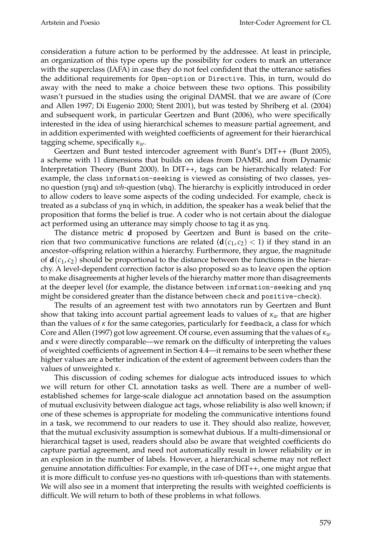consideration a future action to be performed by the addressee. At least in principle, an organization of this type opens up the possibility for coders to mark an utterance with the superclass (IAFA) in case they do not feel confident that the utterance satisfies the additional requirements for Open-option or Directive. This, in turn, would do away with the need to make a choice between these two options. This possibility wasn't pursued in the studies using the original DAMSL that we are aware of (Core and Allen 1997; Di Eugenio 2000; Stent 2001), but was tested by Shriberg et al. (2004) and subsequent work, in particular Geertzen and Bunt (2006), who were specifically interested in the idea of using hierarchical schemes to measure partial agreement, and in addition experimented with weighted coefficients of agreement for their hierarchical tagging scheme, specifically *κw*.

Geertzen and Bunt tested intercoder agreement with Bunt's DIT++ (Bunt 2005), a scheme with 11 dimensions that builds on ideas from DAMSL and from Dynamic Interpretation Theory (Bunt 2000). In DIT++, tags can be hierarchically related: For example, the class information-seeking is viewed as consisting of two classes, yesno question (ynq) and *wh*-question (whq). The hierarchy is explicitly introduced in order to allow coders to leave some aspects of the coding undecided. For example, check is treated as a subclass of ynq in which, in addition, the speaker has a weak belief that the proposition that forms the belief is true. A coder who is not certain about the dialogue act performed using an utterance may simply choose to tag it as ynq.

The distance metric **d** proposed by Geertzen and Bunt is based on the criterion that two communicative functions are related  $(d(c_1, c_2) < 1)$  if they stand in an ancestor–offspring relation within a hierarchy. Furthermore, they argue, the magnitude of  $\mathbf{d}(c_1, c_2)$  should be proportional to the distance between the functions in the hierarchy. A level-dependent correction factor is also proposed so as to leave open the option to make disagreements at higher levels of the hierarchy matter more than disagreements at the deeper level (for example, the distance between information-seeking and ynq might be considered greater than the distance between check and positive-check).

The results of an agreement test with two annotators run by Geertzen and Bunt show that taking into account partial agreement leads to values of *κw* that are higher than the values of *κ* for the same categories, particularly for feedback, a class for which Core and Allen (1997) got low agreement. Of course, even assuming that the values of *κw* and *κ* were directly comparable—we remark on the difficulty of interpreting the values of weighted coefficients of agreement in Section 4.4—it remains to be seen whether these higher values are a better indication of the extent of agreement between coders than the values of unweighted *κ*.

This discussion of coding schemes for dialogue acts introduced issues to which we will return for other CL annotation tasks as well. There are a number of wellestablished schemes for large-scale dialogue act annotation based on the assumption of mutual exclusivity between dialogue act tags, whose reliability is also well known; if one of these schemes is appropriate for modeling the communicative intentions found in a task, we recommend to our readers to use it. They should also realize, however, that the mutual exclusivity assumption is somewhat dubious. If a multi-dimensional or hierarchical tagset is used, readers should also be aware that weighted coefficients do capture partial agreement, and need not automatically result in lower reliability or in an explosion in the number of labels. However, a hierarchical scheme may not reflect genuine annotation difficulties: For example, in the case of DIT++, one might argue that it is more difficult to confuse yes-no questions with *wh*-questions than with statements. We will also see in a moment that interpreting the results with weighted coefficients is difficult. We will return to both of these problems in what follows.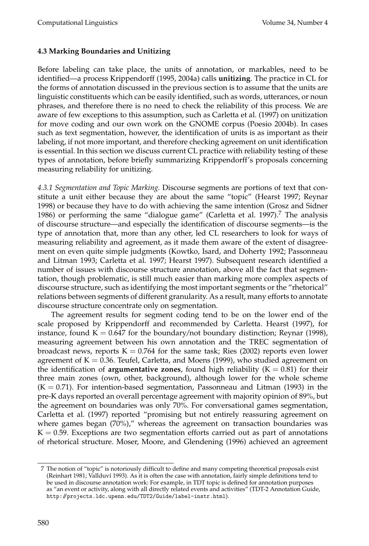### **4.3 Marking Boundaries and Unitizing**

Before labeling can take place, the units of annotation, or markables, need to be identified—a process Krippendorff (1995, 2004a) calls **unitizing**. The practice in CL for the forms of annotation discussed in the previous section is to assume that the units are linguistic constituents which can be easily identified, such as words, utterances, or noun phrases, and therefore there is no need to check the reliability of this process. We are aware of few exceptions to this assumption, such as Carletta et al. (1997) on unitization for move coding and our own work on the GNOME corpus (Poesio 2004b). In cases such as text segmentation, however, the identification of units is as important as their labeling, if not more important, and therefore checking agreement on unit identification is essential. In this section we discuss current CL practice with reliability testing of these types of annotation, before briefly summarizing Krippendorff's proposals concerning measuring reliability for unitizing.

*4.3.1 Segmentation and Topic Marking.* Discourse segments are portions of text that constitute a unit either because they are about the same "topic" (Hearst 1997; Reynar 1998) or because they have to do with achieving the same intention (Grosz and Sidner 1986) or performing the same "dialogue game" (Carletta et al. 1997).<sup>7</sup> The analysis of discourse structure—and especially the identification of discourse segments—is the type of annotation that, more than any other, led CL researchers to look for ways of measuring reliability and agreement, as it made them aware of the extent of disagreement on even quite simple judgments (Kowtko, Isard, and Doherty 1992; Passonneau and Litman 1993; Carletta et al. 1997; Hearst 1997). Subsequent research identified a number of issues with discourse structure annotation, above all the fact that segmentation, though problematic, is still much easier than marking more complex aspects of discourse structure, such as identifying the most important segments or the "rhetorical" relations between segments of different granularity. As a result, many efforts to annotate discourse structure concentrate only on segmentation.

The agreement results for segment coding tend to be on the lower end of the scale proposed by Krippendorff and recommended by Carletta. Hearst (1997), for instance, found  $K = 0.647$  for the boundary/not boundary distinction; Reynar (1998), measuring agreement between his own annotation and the TREC segmentation of broadcast news, reports  $K = 0.764$  for the same task; Ries (2002) reports even lower agreement of  $K = 0.36$ . Teufel, Carletta, and Moens (1999), who studied agreement on the identification of **argumentative zones**, found high reliability ( $K = 0.81$ ) for their three main zones (own, other, background), although lower for the whole scheme  $(K = 0.71)$ . For intention-based segmentation, Passonneau and Litman (1993) in the pre-K days reported an overall percentage agreement with majority opinion of 89%, but the agreement on boundaries was only 70%. For conversational games segmentation, Carletta et al. (1997) reported "promising but not entirely reassuring agreement on where games began (70%)," whereas the agreement on transaction boundaries was  $K = 0.59$ . Exceptions are two segmentation efforts carried out as part of annotations of rhetorical structure. Moser, Moore, and Glendening (1996) achieved an agreement

<sup>7</sup> The notion of "topic" is notoriously difficult to define and many competing theoretical proposals exist (Reinhart 1981; Vallduví 1993). As it is often the case with annotation, fairly simple definitions tend to be used in discourse annotation work: For example, in TDT topic is defined for annotation purposes as "an event or activity, along with all directly related events and activities" (TDT-2 Annotation Guide, http://projects.ldc.upenn.edu/TDT2/Guide/label-instr.html).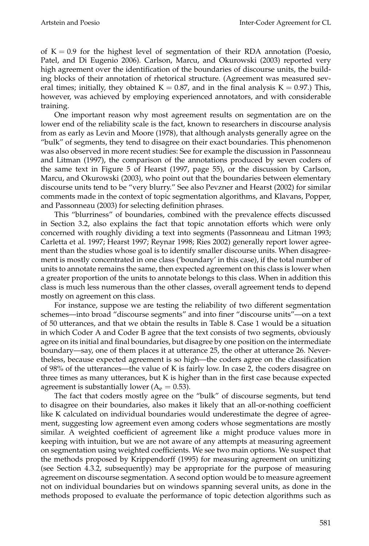of  $K = 0.9$  for the highest level of segmentation of their RDA annotation (Poesio, Patel, and Di Eugenio 2006). Carlson, Marcu, and Okurowski (2003) reported very high agreement over the identification of the boundaries of discourse units, the building blocks of their annotation of rhetorical structure. (Agreement was measured several times; initially, they obtained  $K = 0.87$ , and in the final analysis  $K = 0.97$ .) This, however, was achieved by employing experienced annotators, and with considerable training.

One important reason why most agreement results on segmentation are on the lower end of the reliability scale is the fact, known to researchers in discourse analysis from as early as Levin and Moore (1978), that although analysts generally agree on the "bulk" of segments, they tend to disagree on their exact boundaries. This phenomenon was also observed in more recent studies: See for example the discussion in Passonneau and Litman (1997), the comparison of the annotations produced by seven coders of the same text in Figure 5 of Hearst (1997, page 55), or the discussion by Carlson, Marcu, and Okurowski (2003), who point out that the boundaries between elementary discourse units tend to be "very blurry." See also Pevzner and Hearst (2002) for similar comments made in the context of topic segmentation algorithms, and Klavans, Popper, and Passonneau (2003) for selecting definition phrases.

This "blurriness" of boundaries, combined with the prevalence effects discussed in Section 3.2, also explains the fact that topic annotation efforts which were only concerned with roughly dividing a text into segments (Passonneau and Litman 1993; Carletta et al. 1997; Hearst 1997; Reynar 1998; Ries 2002) generally report lower agreement than the studies whose goal is to identify smaller discourse units. When disagreement is mostly concentrated in one class ('boundary' in this case), if the total number of units to annotate remains the same, then expected agreement on this class is lower when a greater proportion of the units to annotate belongs to this class. When in addition this class is much less numerous than the other classes, overall agreement tends to depend mostly on agreement on this class.

For instance, suppose we are testing the reliability of two different segmentation schemes—into broad "discourse segments" and into finer "discourse units"—on a text of 50 utterances, and that we obtain the results in Table 8. Case 1 would be a situation in which Coder A and Coder B agree that the text consists of two segments, obviously agree on its initial and final boundaries, but disagree by one position on the intermediate boundary—say, one of them places it at utterance 25, the other at utterance 26. Nevertheless, because expected agreement is so high—the coders agree on the classification of 98% of the utterances—the value of K is fairly low. In case 2, the coders disagree on three times as many utterances, but K is higher than in the first case because expected agreement is substantially lower ( $A_e = 0.53$ ).

The fact that coders mostly agree on the "bulk" of discourse segments, but tend to disagree on their boundaries, also makes it likely that an all-or-nothing coefficient like K calculated on individual boundaries would underestimate the degree of agreement, suggesting low agreement even among coders whose segmentations are mostly similar. A weighted coefficient of agreement like *α* might produce values more in keeping with intuition, but we are not aware of any attempts at measuring agreement on segmentation using weighted coefficients. We see two main options. We suspect that the methods proposed by Krippendorff (1995) for measuring agreement on unitizing (see Section 4.3.2, subsequently) may be appropriate for the purpose of measuring agreement on discourse segmentation. A second option would be to measure agreement not on individual boundaries but on windows spanning several units, as done in the methods proposed to evaluate the performance of topic detection algorithms such as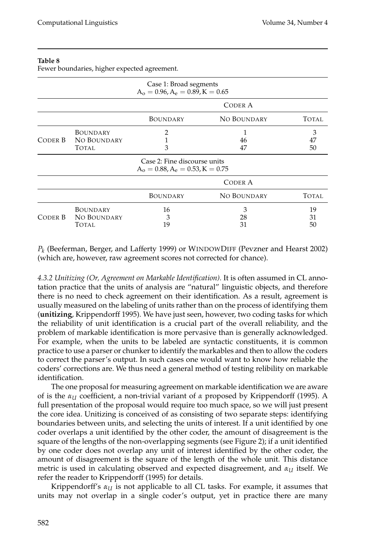#### **Table 8**

Fewer boundaries, higher expected agreement.

|                |                                                | Case 1: Broad segments<br>$A_0 = 0.96$ , $A_e = 0.89$ , $K = 0.65$       |                |                |
|----------------|------------------------------------------------|--------------------------------------------------------------------------|----------------|----------------|
|                |                                                |                                                                          | <b>CODER A</b> |                |
|                |                                                | <b>BOUNDARY</b>                                                          | NO BOUNDARY    | <b>TOTAL</b>   |
| CODER B        | <b>BOUNDARY</b><br>NO BOUNDARY<br><b>TOTAL</b> | 2<br>3                                                                   | 1<br>46<br>47  | 3<br>47<br>50  |
|                |                                                | Case 2: Fine discourse units<br>$A_0 = 0.88$ , $A_e = 0.53$ , $K = 0.75$ |                |                |
|                |                                                |                                                                          | <b>CODER A</b> |                |
|                |                                                | <b>BOUNDARY</b>                                                          | NO BOUNDARY    | <b>TOTAL</b>   |
| <b>CODER B</b> | <b>BOUNDARY</b><br>NO BOUNDARY<br>TOTAL        | 16<br>3<br>19                                                            | 3<br>28<br>31  | 19<br>31<br>50 |

*Pk* (Beeferman, Berger, and Lafferty 1999) or WINDOWDIFF (Pevzner and Hearst 2002) (which are, however, raw agreement scores not corrected for chance).

*4.3.2 Unitizing (Or, Agreement on Markable Identification).* It is often assumed in CL annotation practice that the units of analysis are "natural" linguistic objects, and therefore there is no need to check agreement on their identification. As a result, agreement is usually measured on the labeling of units rather than on the process of identifying them (**unitizing**, Krippendorff 1995). We have just seen, however, two coding tasks for which the reliability of unit identification is a crucial part of the overall reliability, and the problem of markable identification is more pervasive than is generally acknowledged. For example, when the units to be labeled are syntactic constituents, it is common practice to use a parser or chunker to identify the markables and then to allow the coders to correct the parser's output. In such cases one would want to know how reliable the coders' corrections are. We thus need a general method of testing relibility on markable identification.

The one proposal for measuring agreement on markable identification we are aware of is the *α<sup>U</sup>* coefficient, a non-trivial variant of *α* proposed by Krippendorff (1995). A full presentation of the proposal would require too much space, so we will just present the core idea. Unitizing is conceived of as consisting of two separate steps: identifying boundaries between units, and selecting the units of interest. If a unit identified by one coder overlaps a unit identified by the other coder, the amount of disagreement is the square of the lengths of the non-overlapping segments (see Figure 2); if a unit identified by one coder does not overlapany unit of interest identified by the other coder, the amount of disagreement is the square of the length of the whole unit. This distance metric is used in calculating observed and expected disagreement, and  $\alpha_{U}$  itself. We refer the reader to Krippendorff (1995) for details.

Krippendorff's  $\alpha_U$  is not applicable to all CL tasks. For example, it assumes that units may not overlap in a single coder's output, yet in practice there are many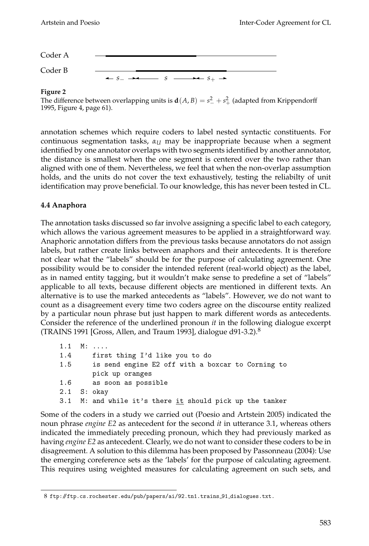

### **Figure 2**

The difference between overlapping units is  $\mathbf{d}(A, B) = s_-^2 + s_+^2$  (adapted from Krippendorff 1995, Figure 4, page 61).

annotation schemes which require coders to label nested syntactic constituents. For continuous segmentation tasks, *α<sup>U</sup>* may be inappropriate because when a segment identified by one annotator overlaps with two segments identified by another annotator, the distance is smallest when the one segment is centered over the two rather than aligned with one of them. Nevertheless, we feel that when the non-overlap assumption holds, and the units do not cover the text exhaustively, testing the reliabilty of unit identification may prove beneficial. To our knowledge, this has never been tested in CL.

# **4.4 Anaphora**

The annotation tasks discussed so far involve assigning a specific label to each category, which allows the various agreement measures to be applied in a straightforward way. Anaphoric annotation differs from the previous tasks because annotators do not assign labels, but rather create links between anaphors and their antecedents. It is therefore not clear what the "labels" should be for the purpose of calculating agreement. One possibility would be to consider the intended referent (real-world object) as the label, as in named entity tagging, but it wouldn't make sense to predefine a set of "labels" applicable to all texts, because different objects are mentioned in different texts. An alternative is to use the marked antecedents as "labels". However, we do not want to count as a disagreement every time two coders agree on the discourse entity realized by a particular noun phrase but just happen to mark different words as antecedents. Consider the reference of the underlined pronoun *it* in the following dialogue excerpt (TRAINS 1991 [Gross, Allen, and Traum 1993], dialogue d91-3.2). $8$ 

|     | $1.1 \quad M: \ldots$                                    |
|-----|----------------------------------------------------------|
| 1.4 | first thing I'd like you to do                           |
| 1.5 | is send engine E2 off with a boxcar to Corning to        |
|     | pick up oranges                                          |
|     | 1.6 as soon as possible                                  |
|     | 2.1 S: okay                                              |
|     | 3.1 M: and while it's there it should pick up the tanker |

Some of the coders in a study we carried out (Poesio and Artstein 2005) indicated the noun phrase *engine E2* as antecedent for the second *it* in utterance 3.1, whereas others indicated the immediately preceding pronoun, which they had previously marked as having *engine E2* as antecedent. Clearly, we do not want to consider these coders to be in disagreement. A solution to this dilemma has been proposed by Passonneau (2004): Use the emerging coreference sets as the 'labels' for the purpose of calculating agreement. This requires using weighted measures for calculating agreement on such sets, and

<sup>8</sup> ftp://ftp.cs.rochester.edu/pub/papers/ai/92.tn1.trains 91 dialogues.txt.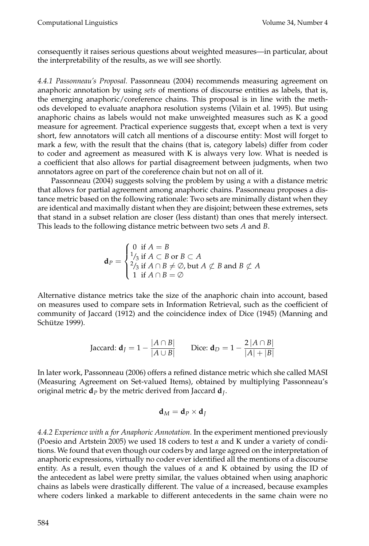consequently it raises serious questions about weighted measures—in particular, about the interpretability of the results, as we will see shortly.

*4.4.1 Passonneau's Proposal.* Passonneau (2004) recommends measuring agreement on anaphoric annotation by using *sets* of mentions of discourse entities as labels, that is, the emerging anaphoric/coreference chains. This proposal is in line with the methods developed to evaluate anaphora resolution systems (Vilain et al. 1995). But using anaphoric chains as labels would not make unweighted measures such as K a good measure for agreement. Practical experience suggests that, except when a text is very short, few annotators will catch all mentions of a discourse entity: Most will forget to mark a few, with the result that the chains (that is, category labels) differ from coder to coder and agreement as measured with K is always very low. What is needed is a coefficient that also allows for partial disagreement between judgments, when two annotators agree on part of the coreference chain but not on all of it.

Passonneau (2004) suggests solving the problem by using *α* with a distance metric that allows for partial agreement among anaphoric chains. Passonneau proposes a distance metric based on the following rationale: Two sets are minimally distant when they are identical and maximally distant when they are disjoint; between these extremes, sets that stand in a subset relation are closer (less distant) than ones that merely intersect. This leads to the following distance metric between two sets *A* and *B*.

$$
\mathbf{d}_P = \begin{cases} 0 & \text{if } A = B \\ \frac{1}{3} & \text{if } A \subset B \text{ or } B \subset A \\ \frac{2}{3} & \text{if } A \cap B \neq \emptyset, \text{ but } A \nsubseteq B \text{ and } B \nsubseteq A \\ 1 & \text{if } A \cap B = \emptyset \end{cases}
$$

Alternative distance metrics take the size of the anaphoric chain into account, based on measures used to compare sets in Information Retrieval, such as the coefficient of community of Jaccard (1912) and the coincidence index of Dice (1945) (Manning and Schütze 1999).

$$
\text{Jaccard: } \mathbf{d}_J = 1 - \frac{|A \cap B|}{|A \cup B|} \qquad \text{Dice: } \mathbf{d}_D = 1 - \frac{2|A \cap B|}{|A| + |B|}
$$

In later work, Passonneau (2006) offers a refined distance metric which she called MASI (Measuring Agreement on Set-valued Items), obtained by multiplying Passonneau's original metric **d***<sup>P</sup>* by the metric derived from Jaccard **d***J*.

$$
\mathbf{d}_M = \mathbf{d}_P \times \mathbf{d}_J
$$

*4.4.2 Experience with α for Anaphoric Annotation.* In the experiment mentioned previously (Poesio and Artstein 2005) we used 18 coders to test *α* and K under a variety of conditions. We found that even though our coders by and large agreed on the interpretation of anaphoric expressions, virtually no coder ever identified all the mentions of a discourse entity. As a result, even though the values of  $\alpha$  and K obtained by using the ID of the antecedent as label were pretty similar, the values obtained when using anaphoric chains as labels were drastically different. The value of *α* increased, because examples where coders linked a markable to different antecedents in the same chain were no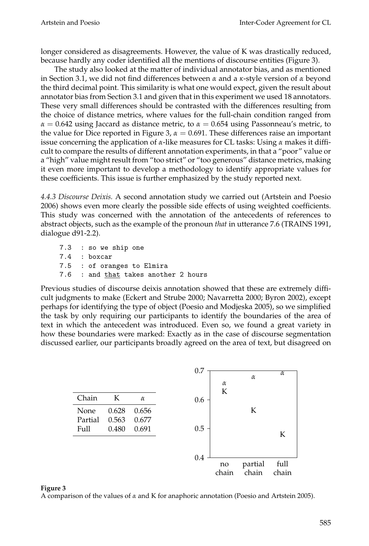longer considered as disagreements. However, the value of K was drastically reduced, because hardly any coder identified all the mentions of discourse entities (Figure 3).

The study also looked at the matter of individual annotator bias, and as mentioned in Section 3.1, we did not find differences between *α* and a *κ*-style version of *α* beyond the third decimal point. This similarity is what one would expect, given the result about annotator bias from Section 3.1 and given that in this experiment we used 18 annotators. These very small differences should be contrasted with the differences resulting from the choice of distance metrics, where values for the full-chain condition ranged from  $\alpha = 0.642$  using Jaccard as distance metric, to  $\alpha = 0.654$  using Passonneau's metric, to the value for Dice reported in Figure 3,  $\alpha = 0.691$ . These differences raise an important issue concerning the application of *α*-like measures for CL tasks: Using *α* makes it difficult to compare the results of different annotation experiments, in that a "poor" value or a "high" value might result from "too strict" or "too generous" distance metrics, making it even more important to develop a methodology to identify appropriate values for these coefficients. This issue is further emphasized by the study reported next.

*4.4.3 Discourse Deixis.* A second annotation study we carried out (Artstein and Poesio 2006) shows even more clearly the possible side effects of using weighted coefficients. This study was concerned with the annotation of the antecedents of references to abstract objects, such as the example of the pronoun *that* in utterance 7.6 (TRAINS 1991, dialogue d91-2.2).

7.3 : so we ship one 7.4 : boxcar 7.5 : of oranges to Elmira 7.6 : and that takes another 2 hours

Previous studies of discourse deixis annotation showed that these are extremely difficult judgments to make (Eckert and Strube 2000; Navarretta 2000; Byron 2002), except perhaps for identifying the type of object (Poesio and Modjeska 2005), so we simplified the task by only requiring our participants to identify the boundaries of the area of text in which the antecedent was introduced. Even so, we found a great variety in how these boundaries were marked: Exactly as in the case of discourse segmentation discussed earlier, our participants broadly agreed on the area of text, but disagreed on



#### **Figure 3**

A comparison of the values of *α* and K for anaphoric annotation (Poesio and Artstein 2005).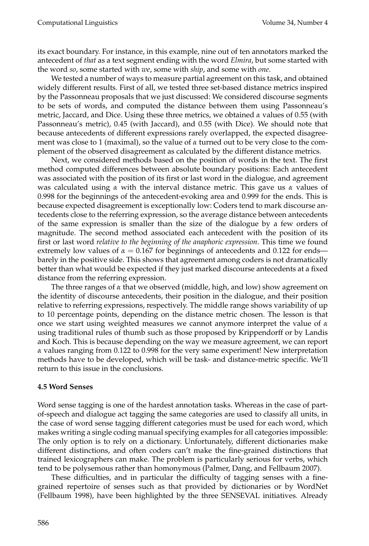its exact boundary. For instance, in this example, nine out of ten annotators marked the antecedent of *that* as a text segment ending with the word *Elmira*, but some started with the word *so*, some started with *we*, some with *ship*, and some with *one*.

We tested a number of ways to measure partial agreement on this task, and obtained widely different results. First of all, we tested three set-based distance metrics inspired by the Passonneau proposals that we just discussed: We considered discourse segments to be sets of words, and computed the distance between them using Passonneau's metric, Jaccard, and Dice. Using these three metrics, we obtained *α* values of 0.55 (with Passonneau's metric), 0.45 (with Jaccard), and 0.55 (with Dice). We should note that because antecedents of different expressions rarely overlapped, the expected disagreement was close to 1 (maximal), so the value of *α* turned out to be very close to the complement of the observed disagreement as calculated by the different distance metrics.

Next, we considered methods based on the position of words in the text. The first method computed differences between absolute boundary positions: Each antecedent was associated with the position of its first or last word in the dialogue, and agreement was calculated using *α* with the interval distance metric. This gave us *α* values of 0.998 for the beginnings of the antecedent-evoking area and 0.999 for the ends. This is because expected disagreement is exceptionally low: Coders tend to mark discourse antecedents close to the referring expression, so the average distance between antecedents of the same expression is smaller than the size of the dialogue by a few orders of magnitude. The second method associated each antecedent with the position of its first or last word *relative to the beginning of the anaphoric expression*. This time we found extremely low values of  $\alpha = 0.167$  for beginnings of antecedents and 0.122 for ends barely in the positive side. This shows that agreement among coders is not dramatically better than what would be expected if they just marked discourse antecedents at a fixed distance from the referring expression.

The three ranges of  $\alpha$  that we observed (middle, high, and low) show agreement on the identity of discourse antecedents, their position in the dialogue, and their position relative to referring expressions, respectively. The middle range shows variability of up to 10 percentage points, depending on the distance metric chosen. The lesson is that once we start using weighted measures we cannot anymore interpret the value of *α* using traditional rules of thumb such as those proposed by Krippendorff or by Landis and Koch. This is because depending on the way we measure agreement, we can report *α* values ranging from 0.122 to 0.998 for the very same experiment! New interpretation methods have to be developed, which will be task- and distance-metric specific. We'll return to this issue in the conclusions.

#### **4.5 Word Senses**

Word sense tagging is one of the hardest annotation tasks. Whereas in the case of partof-speech and dialogue act tagging the same categories are used to classify all units, in the case of word sense tagging different categories must be used for each word, which makes writing a single coding manual specifying examples for all categories impossible: The only option is to rely on a dictionary. Unfortunately, different dictionaries make different distinctions, and often coders can't make the fine-grained distinctions that trained lexicographers can make. The problem is particularly serious for verbs, which tend to be polysemous rather than homonymous (Palmer, Dang, and Fellbaum 2007).

These difficulties, and in particular the difficulty of tagging senses with a finegrained repertoire of senses such as that provided by dictionaries or by WordNet (Fellbaum 1998), have been highlighted by the three SENSEVAL initiatives. Already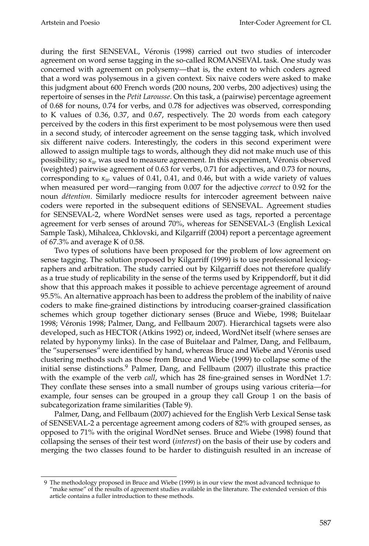during the first SENSEVAL, Véronis (1998) carried out two studies of intercoder agreement on word sense tagging in the so-called ROMANSEVAL task. One study was concerned with agreement on polysemy—that is, the extent to which coders agreed that a word was polysemous in a given context. Six naive coders were asked to make this judgment about 600 French words (200 nouns, 200 verbs, 200 adjectives) using the repertoire of senses in the *Petit Larousse*. On this task, a (pairwise) percentage agreement of 0.68 for nouns, 0.74 for verbs, and 0.78 for adjectives was observed, corresponding to K values of 0.36, 0.37, and 0.67, respectively. The 20 words from each category perceived by the coders in this first experiment to be most polysemous were then used in a second study, of intercoder agreement on the sense tagging task, which involved six different naive coders. Interestingly, the coders in this second experiment were allowed to assign multiple tags to words, although they did not make much use of this possibility; so *κw* was used to measure agreement. In this experiment, Veronis observed ´ (weighted) pairwise agreement of 0.63 for verbs, 0.71 for adjectives, and 0.73 for nouns, corresponding to  $\kappa_w$  values of 0.41, 0.41, and 0.46, but with a wide variety of values when measured per word—ranging from 0.007 for the adjective *correct* to 0.92 for the noun *d´etention*. Similarly mediocre results for intercoder agreement between naive coders were reported in the subsequent editions of SENSEVAL. Agreement studies for SENSEVAL-2, where WordNet senses were used as tags, reported a percentage agreement for verb senses of around 70%, whereas for SENSEVAL-3 (English Lexical Sample Task), Mihalcea, Chklovski, and Kilgarriff (2004) report a percentage agreement of 67.3% and average K of 0.58.

Two types of solutions have been proposed for the problem of low agreement on sense tagging. The solution proposed by Kilgarriff (1999) is to use professional lexicographers and arbitration. The study carried out by Kilgarriff does not therefore qualify as a true study of replicability in the sense of the terms used by Krippendorff, but it did show that this approach makes it possible to achieve percentage agreement of around 95.5%. An alternative approach has been to address the problem of the inability of naive coders to make fine-grained distinctions by introducing coarser-grained classification schemes which group together dictionary senses (Bruce and Wiebe, 1998; Buitelaar 1998; Veronis 1998; Palmer, Dang, and Fellbaum 2007). Hierarchical tagsets were also ´ developed, such as HECTOR (Atkins 1992) or, indeed, WordNet itself (where senses are related by hyponymy links). In the case of Buitelaar and Palmer, Dang, and Fellbaum, the "supersenses" were identified by hand, whereas Bruce and Wiebe and Véronis used clustering methods such as those from Bruce and Wiebe (1999) to collapse some of the initial sense distinctions.<sup>9</sup> Palmer, Dang, and Fellbaum (2007) illustrate this practice with the example of the verb *call*, which has 28 fine-grained senses in WordNet 1.7: They conflate these senses into a small number of groups using various criteria—for example, four senses can be grouped in a group they call Group 1 on the basis of subcategorization frame similarities (Table 9).

Palmer, Dang, and Fellbaum (2007) achieved for the English Verb Lexical Sense task of SENSEVAL-2 a percentage agreement among coders of 82% with grouped senses, as opposed to 71% with the original WordNet senses. Bruce and Wiebe (1998) found that collapsing the senses of their test word (*interest*) on the basis of their use by coders and merging the two classes found to be harder to distinguish resulted in an increase of

<sup>9</sup> The methodology proposed in Bruce and Wiebe (1999) is in our view the most advanced technique to "make sense" of the results of agreement studies available in the literature. The extended version of this article contains a fuller introduction to these methods.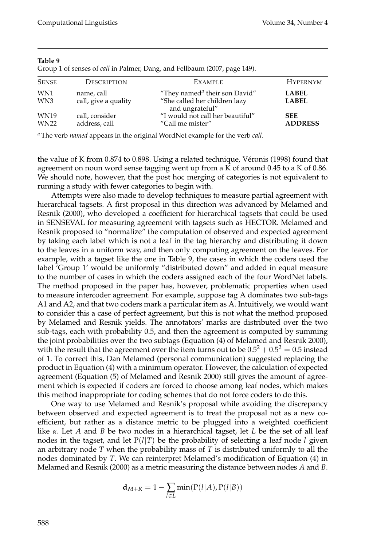|              | Sroap I of senses of this till alliely Barig, and I choudle $(200)$ , page 11/ $\mu$ |                                                                                                      |                              |  |  |  |  |
|--------------|--------------------------------------------------------------------------------------|------------------------------------------------------------------------------------------------------|------------------------------|--|--|--|--|
| <b>SENSE</b> | <b>DESCRIPTION</b>                                                                   | <b>EXAMPLE</b>                                                                                       | <b>HYPERNYM</b>              |  |  |  |  |
| WN1<br>WN3   | name, call<br>call, give a quality                                                   | "They named <sup><i>a</i></sup> their son David"<br>"She called her children lazy<br>and ungrateful" | <b>LABEL</b><br><b>LABEL</b> |  |  |  |  |
| WN19<br>WN22 | call, consider<br>address, call                                                      | "I would not call her beautiful"<br>"Call me mister"                                                 | <b>SEE</b><br><b>ADDRESS</b> |  |  |  |  |

#### **Table 9**

Group1 of senses of *call* in Palmer, Dang, and Fellbaum (2007, page 149).

*<sup>a</sup>* The verb *named* appears in the original WordNet example for the verb *call*.

the value of K from 0.874 to 0.898. Using a related technique, Véronis (1998) found that agreement on noun word sense tagging went upfrom a K of around 0.45 to a K of 0.86. We should note, however, that the post hoc merging of categories is not equivalent to running a study with fewer categories to begin with.

Attempts were also made to develop techniques to measure partial agreement with hierarchical tagsets. A first proposal in this direction was advanced by Melamed and Resnik (2000), who developed a coefficient for hierarchical tagsets that could be used in SENSEVAL for measuring agreement with tagsets such as HECTOR. Melamed and Resnik proposed to "normalize" the computation of observed and expected agreement by taking each label which is not a leaf in the tag hierarchy and distributing it down to the leaves in a uniform way, and then only computing agreement on the leaves. For example, with a tagset like the one in Table 9, the cases in which the coders used the label 'Group 1' would be uniformly "distributed down" and added in equal measure to the number of cases in which the coders assigned each of the four WordNet labels. The method proposed in the paper has, however, problematic properties when used to measure intercoder agreement. For example, suppose tag A dominates two sub-tags A1 and A2, and that two coders mark a particular item as A. Intuitively, we would want to consider this a case of perfect agreement, but this is not what the method proposed by Melamed and Resnik yields. The annotators' marks are distributed over the two sub-tags, each with probability 0.5, and then the agreement is computed by summing the joint probabilities over the two subtags (Equation (4) of Melamed and Resnik 2000), with the result that the agreement over the item turns out to be  $0.5^2 + 0.5^2 = 0.5$  instead of 1. To correct this, Dan Melamed (personal communication) suggested replacing the product in Equation (4) with a minimum operator. However, the calculation of expected agreement (Equation (5) of Melamed and Resnik 2000) still gives the amount of agreement which is expected if coders are forced to choose among leaf nodes, which makes this method inappropriate for coding schemes that do not force coders to do this.

One way to use Melamed and Resnik's proposal while avoiding the discrepancy between observed and expected agreement is to treat the proposal not as a new coefficient, but rather as a distance metric to be plugged into a weighted coefficient like *α*. Let *A* and *B* be two nodes in a hierarchical tagset, let *L* be the set of all leaf nodes in the tagset, and let  $P(l|T)$  be the probability of selecting a leaf node *l* given an arbitrary node *T* when the probability mass of *T* is distributed uniformly to all the nodes dominated by *T*. We can reinterpret Melamed's modification of Equation (4) in Melamed and Resnik (2000) as a metric measuring the distance between nodes *A* and *B*.

$$
\mathbf{d}_{M+R} = 1 - \sum_{l \in L} \min(\mathrm{P}(l|A), \mathrm{P}(l|B))
$$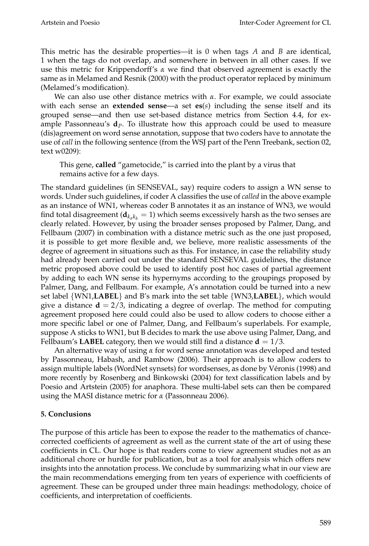This metric has the desirable properties—it is 0 when tags *A* and *B* are identical, 1 when the tags do not overlap, and somewhere in between in all other cases. If we use this metric for Krippendorff's *α* we find that observed agreement is exactly the same as in Melamed and Resnik (2000) with the product operator replaced by minimum (Melamed's modification).

We can also use other distance metrics with *α*. For example, we could associate with each sense an **extended sense**—a set **es**(*s*) including the sense itself and its grouped sense—and then use set-based distance metrics from Section 4.4, for example Passonneau's  $d_p$ . To illustrate how this approach could be used to measure (dis)agreement on word sense annotation, suppose that two coders have to annotate the use of *call* in the following sentence (from the WSJ part of the Penn Treebank, section 02, text w0209):

This gene, **called** "gametocide," is carried into the plant by a virus that remains active for a few days.

The standard guidelines (in SENSEVAL, say) require coders to assign a WN sense to words. Under such guidelines, if coder A classifies the use of *called* in the above example as an instance of WN1, whereas coder B annotates it as an instance of WN3, we would find total disagreement ( $\mathbf{d}_{k_{\alpha}k_{\alpha}} = 1$ ) which seems excessively harsh as the two senses are clearly related. However, by using the broader senses proposed by Palmer, Dang, and Fellbaum (2007) in combination with a distance metric such as the one just proposed, it is possible to get more flexible and, we believe, more realistic assessments of the degree of agreement in situations such as this. For instance, in case the reliability study had already been carried out under the standard SENSEVAL guidelines, the distance metric proposed above could be used to identify post hoc cases of partial agreement by adding to each WN sense its hypernyms according to the groupings proposed by Palmer, Dang, and Fellbaum. For example, A's annotation could be turned into a new set label {WN1,**LABEL**} and B's mark into the set table {WN3,**LABEL**}, which would give a distance  $d = 2/3$ , indicating a degree of overlap. The method for computing agreement proposed here could could also be used to allow coders to choose either a more specific label or one of Palmer, Dang, and Fellbaum's superlabels. For example, suppose A sticks to WN1, but B decides to mark the use above using Palmer, Dang, and Fellbaum's **LABEL** category, then we would still find a distance  $\mathbf{d} = 1/3$ .

An alternative way of using *α* for word sense annotation was developed and tested by Passonneau, Habash, and Rambow (2006). Their approach is to allow coders to assign multiple labels (WordNet synsets) for wordsenses, as done by Véronis (1998) and more recently by Rosenberg and Binkowski (2004) for text classification labels and by Poesio and Artstein (2005) for anaphora. These multi-label sets can then be compared using the MASI distance metric for *α* (Passonneau 2006).

### **5. Conclusions**

The purpose of this article has been to expose the reader to the mathematics of chancecorrected coefficients of agreement as well as the current state of the art of using these coefficients in CL. Our hope is that readers come to view agreement studies not as an additional chore or hurdle for publication, but as a tool for analysis which offers new insights into the annotation process. We conclude by summarizing what in our view are the main recommendations emerging from ten years of experience with coefficients of agreement. These can be grouped under three main headings: methodology, choice of coefficients, and interpretation of coefficients.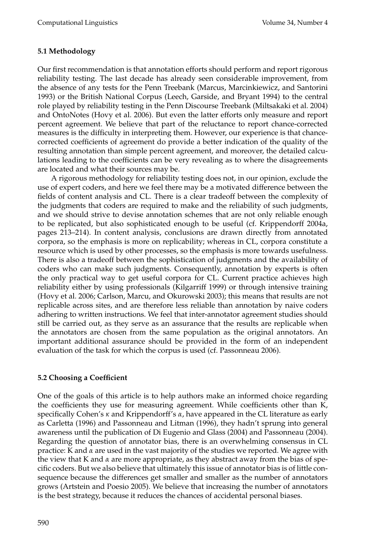### **5.1 Methodology**

Our first recommendation is that annotation efforts should perform and report rigorous reliability testing. The last decade has already seen considerable improvement, from the absence of any tests for the Penn Treebank (Marcus, Marcinkiewicz, and Santorini 1993) or the British National Corpus (Leech, Garside, and Bryant 1994) to the central role played by reliability testing in the Penn Discourse Treebank (Miltsakaki et al. 2004) and OntoNotes (Hovy et al. 2006). But even the latter efforts only measure and report percent agreement. We believe that part of the reluctance to report chance-corrected measures is the difficulty in interpreting them. However, our experience is that chancecorrected coefficients of agreement do provide a better indication of the quality of the resulting annotation than simple percent agreement, and moreover, the detailed calculations leading to the coefficients can be very revealing as to where the disagreements are located and what their sources may be.

A rigorous methodology for reliability testing does not, in our opinion, exclude the use of expert coders, and here we feel there may be a motivated difference between the fields of content analysis and CL. There is a clear tradeoff between the complexity of the judgments that coders are required to make and the reliability of such judgments, and we should strive to devise annotation schemes that are not only reliable enough to be replicated, but also sophisticated enough to be useful (cf. Krippendorff 2004a, pages 213–214). In content analysis, conclusions are drawn directly from annotated corpora, so the emphasis is more on replicability; whereas in CL, corpora constitute a resource which is used by other processes, so the emphasis is more towards usefulness. There is also a tradeoff between the sophistication of judgments and the availability of coders who can make such judgments. Consequently, annotation by experts is often the only practical way to get useful corpora for CL. Current practice achieves high reliability either by using professionals (Kilgarriff 1999) or through intensive training (Hovy et al. 2006; Carlson, Marcu, and Okurowski 2003); this means that results are not replicable across sites, and are therefore less reliable than annotation by naive coders adhering to written instructions. We feel that inter-annotator agreement studies should still be carried out, as they serve as an assurance that the results are replicable when the annotators are chosen from the same population as the original annotators. An important additional assurance should be provided in the form of an independent evaluation of the task for which the corpus is used (cf. Passonneau 2006).

### **5.2 Choosing a Coefficient**

One of the goals of this article is to help authors make an informed choice regarding the coefficients they use for measuring agreement. While coefficients other than K, specifically Cohen's *κ* and Krippendorff's *α*, have appeared in the CL literature as early as Carletta (1996) and Passonneau and Litman (1996), they hadn't sprung into general awareness until the publication of Di Eugenio and Glass (2004) and Passonneau (2004). Regarding the question of annotator bias, there is an overwhelming consensus in CL practice: K and *α* are used in the vast majority of the studies we reported. We agree with the view that K and *α* are more appropriate, as they abstract away from the bias of specific coders. But we also believe that ultimately this issue of annotator bias is of little consequence because the differences get smaller and smaller as the number of annotators grows (Artstein and Poesio 2005). We believe that increasing the number of annotators is the best strategy, because it reduces the chances of accidental personal biases.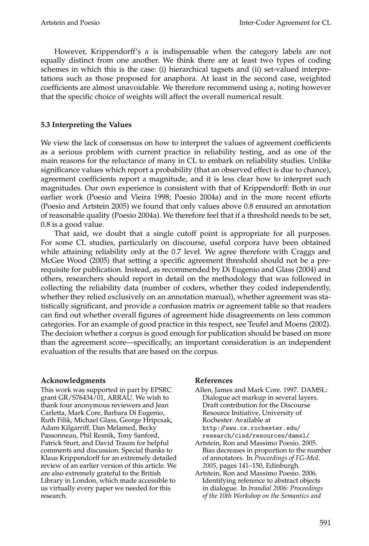However, Krippendorff's *α* is indispensable when the category labels are not equally distinct from one another. We think there are at least two types of coding schemes in which this is the case: (i) hierarchical tagsets and (ii) set-valued interpretations such as those proposed for anaphora. At least in the second case, weighted coefficients are almost unavoidable. We therefore recommend using *α*, noting however that the specific choice of weights will affect the overall numerical result.

### **5.3 Interpreting the Values**

We view the lack of consensus on how to interpret the values of agreement coefficients as a serious problem with current practice in reliability testing, and as one of the main reasons for the reluctance of many in CL to embark on reliability studies. Unlike significance values which report a probability (that an observed effect is due to chance), agreement coefficients report a magnitude, and it is less clear how to interpret such magnitudes. Our own experience is consistent with that of Krippendorff: Both in our earlier work (Poesio and Vieira 1998; Poesio 2004a) and in the more recent efforts (Poesio and Artstein 2005) we found that only values above 0.8 ensured an annotation of reasonable quality (Poesio 2004a). We therefore feel that if a threshold needs to be set, 0.8 is a good value.

That said, we doubt that a single cutoff point is appropriate for all purposes. For some CL studies, particularly on discourse, useful corpora have been obtained while attaining reliability only at the 0.7 level. We agree therefore with Craggs and McGee Wood (2005) that setting a specific agreement threshold should not be a prerequisite for publication. Instead, as recommended by Di Eugenio and Glass (2004) and others, researchers should report in detail on the methodology that was followed in collecting the reliability data (number of coders, whether they coded independently, whether they relied exclusively on an annotation manual), whether agreement was statistically significant, and provide a confusion matrix or agreement table so that readers can find out whether overall figures of agreement hide disagreements on less common categories. For an example of good practice in this respect, see Teufel and Moens (2002). The decision whether a corpus is good enough for publication should be based on more than the agreement score—specifically, an important consideration is an independent evaluation of the results that are based on the corpus.

#### **Acknowledgments**

This work was supported in part by EPSRC grant GR/S76434/01, ARRAU. We wish to thank four anonymous reviewers and Jean Carletta, Mark Core, Barbara Di Eugenio, Ruth Filik, Michael Glass, George Hripcsak, Adam Kilgarriff, Dan Melamed, Becky Passonneau, Phil Resnik, Tony Sanford, Patrick Sturt, and David Traum for helpful comments and discussion. Special thanks to Klaus Krippendorff for an extremely detailed review of an earlier version of this article. We are also extremely grateful to the British Library in London, which made accessible to us virtually every paper we needed for this research.

#### **References**

- Allen, James and Mark Core. 1997. DAMSL: Dialogue act markup in several layers. Draft contribution for the Discourse Resource Initiative, University of Rochester. Available at http://www.cs.rochester.edu/ research/cisd/resources/damsl/.
- Artstein, Ron and Massimo Poesio. 2005. Bias decreases in proportion to the number of annotators. In *Proceedings of FG-MoL 2005*, pages 141–150, Edinburgh.
- Artstein, Ron and Massimo Poesio. 2006. Identifying reference to abstract objects in dialogue. In *brandial 2006: Proceedings of the 10th Workshop on the Semantics and*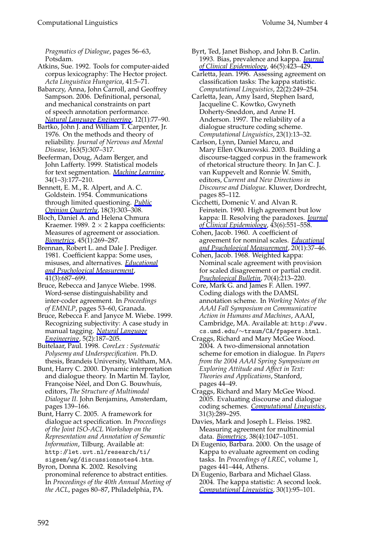#### Computational Linguistics Volume 34, Number 4

*Pragmatics of Dialogue*, pages 56–63, Potsdam.

- Atkins, Sue. 1992. Tools for computer-aided corpus lexicography: The Hector project. *Acta Linguistica Hungarica*, 41:5–71.
- Babarczy, Anna, John Carroll, and Geoffrey Sampson. 2006. Definitional, personal, and mechanical constraints on part of speech annotation performance. *Natural Language Engineering*, 12(1):77–90.
- Bartko, John J. and William T. Carpenter, Jr. 1976. On the methods and theory of reliability. *Journal of Nervous and Mental Disease*, 163(5):307–317.
- Beeferman, Doug, Adam Berger, and John Lafferty. 1999. Statistical models for text segmentation. *Machine Learning*, 34(1–3):177–210.
- Bennett, E. M., R. Alpert, and A. C. Goldstein. 1954. Communications through limited questioning. *Public Opinion Quarterly*, 18(3):303–308.
- Bloch, Daniel A. and Helena Chmura Kraemer. 1989.  $2 \times 2$  kappa coefficients: Measures of agreement or association. *Biometrics*, 45(1):269–287.
- Brennan, Robert L. and Dale J. Prediger. 1981. Coefficient kappa: Some uses, misuses, and alternatives. *Educational and Psychological Measurement*, 41(3):687–699.
- Bruce, Rebecca and Janyce Wiebe. 1998. Word-sense distinguishability and inter-coder agreement. In *Proceedings of EMNLP*, pages 53–60, Granada.
- Bruce, Rebecca F. and Janyce M. Wiebe. 1999. Recognizing subjectivity: A case study in manual tagging. *Natural Language Engineering*, 5(2):187–205.
- Buitelaar, Paul. 1998. *CoreLex : Systematic Polysemy and Underspecification*. Ph.D. thesis, Brandeis University, Waltham, MA.
- Bunt, Harry C. 2000. Dynamic interpretation and dialogue theory. In Martin M. Taylor, Françoise Néel, and Don G. Bouwhuis, editors, *The Structure of Multimodal Dialogue II*. John Benjamins, Amsterdam, pages 139–166.
- Bunt, Harry C. 2005. A framework for dialogue act specification. In *Proceedings of the Joint ISO-ACL Workshop on the Representation and Annotation of Semantic Information*, Tilburg. Available at: http://let.uvt.nl/research/ti/ sigsem/wg/discussionnotes4.htm.
- Byron, Donna K. 2002. Resolving pronominal reference to abstract entities. In *Proceedings of the 40th Annual Meeting of the ACL*, pages 80–87, Philadelphia, PA.
- Byrt, Ted, Janet Bishop, and John B. Carlin. 1993. Bias, prevalence and kappa. *Journal of Clinical Epidemiology*, 46(5):423–429.
- Carletta, Jean. 1996. Assessing agreement on classification tasks: The kappa statistic. *Computational Linguistics*, 22(2):249–254.
- Carletta, Jean, Amy Isard, Stephen Isard, Jacqueline C. Kowtko, Gwyneth Doherty-Sneddon, and Anne H. Anderson. 1997. The reliability of a dialogue structure coding scheme. *Computational Linguistics*, 23(1):13–32.
- Carlson, Lynn, Daniel Marcu, and Mary Ellen Okurowski. 2003. Building a discourse-tagged corpus in the framework of rhetorical structure theory. In Jan C. J. van Kuppevelt and Ronnie W. Smith, editors, *Current and New Directions in Discourse and Dialogue*. Kluwer, Dordrecht, pages 85–112.
- Cicchetti, Domenic V. and Alvan R. Feinstein. 1990. High agreement but low kappa: II. Resolving the paradoxes. *Journal of Clinical Epidemiology*, 43(6):551–558.
- Cohen, Jacob. 1960. A coefficient of agreement for nominal scales. *Educational and Psychological Measurement*, 20(1):37–46.
- Cohen, Jacob. 1968. Weighted kappa: Nominal scale agreement with provision for scaled disagreement or partial credit. *Psychological Bulletin*, 70(4):213–220.
- Core, Mark G. and James F. Allen. 1997. Coding dialogs with the DAMSL annotation scheme. In *Working Notes of the AAAI Fall Symposium on Communicative Action in Humans and Machines*, AAAI, Cambridge, MA. Available at: http://www. cs.umd.edu/∼traum/CA/fpapers.html.
- Craggs, Richard and Mary McGee Wood. 2004. A two-dimensional annotation scheme for emotion in dialogue. In *Papers from the 2004 AAAI Spring Symposium on Exploring Attitude and Affect in Text: Theories and Applications*, Stanford, pages 44–49.
- Craggs, Richard and Mary McGee Wood. 2005. Evaluating discourse and dialogue coding schemes. *Computational Linguistics*, 31(3):289–295.
- Davies, Mark and Joseph L. Fleiss. 1982. Measuring agreement for multinomial data. *Biometrics*, 38(4):1047–1051.
- Di Eugenio, Barbara. 2000. On the usage of Kappa to evaluate agreement on coding tasks. In *Proceedings of LREC*, volume 1, pages 441–444, Athens.
- Di Eugenio, Barbara and Michael Glass. 2004. The kappa statistic: A second look. *Computational Linguistics*, 30(1):95–101.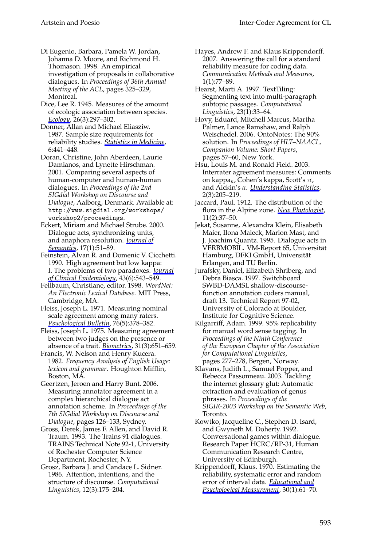Di Eugenio, Barbara, Pamela W. Jordan, Johanna D. Moore, and Richmond H. Thomason. 1998. An empirical investigation of proposals in collaborative dialogues. In *Proceedings of 36th Annual Meeting of the ACL*, pages 325–329, Montreal.

Dice, Lee R. 1945. Measures of the amount of ecologic association between species. *Ecology*, 26(3):297–302.

Donner, Allan and Michael Eliasziw. 1987. Sample size requirements for reliability studies. *Statistics in Medicine*, 6:441–448.

Doran, Christine, John Aberdeen, Laurie Damianos, and Lynette Hirschman. 2001. Comparing several aspects of human-computer and human-human dialogues. In *Proceedings of the 2nd SIGdial Workshop on Discourse and Dialogue*, Aalborg, Denmark. Available at: http://www.sigdial.org/workshops/ workshop2/proceedings.

Eckert, Miriam and Michael Strube. 2000. Dialogue acts, synchronizing units, and anaphora resolution. *Journal of Semantics*, 17(1):51–89.

Feinstein, Alvan R. and Domenic V. Cicchetti. 1990. High agreement but low kappa: I. The problems of two paradoxes. *Journal of Clinical Epidemiology*, 43(6):543–549.

Fellbaum, Christiane, editor. 1998. *WordNet: An Electronic Lexical Database*. MIT Press, Cambridge, MA.

Fleiss, Joseph L. 1971. Measuring nominal scale agreement among many raters. *Psychological Bulletin*, 76(5):378–382.

Fleiss, Joseph L. 1975. Measuring agreement between two judges on the presence or absence of a trait. *Biometrics*, 31(3):651–659.

Francis, W. Nelson and Henry Kucera. 1982. *Frequency Analysis of English Usage: lexicon and grammar*. Houghton Mifflin, Boston, MA.

Geertzen, Jeroen and Harry Bunt. 2006. Measuring annotator agreement in a complex hierarchical dialogue act annotation scheme. In *Proceedings of the 7th SIGdial Workshop on Discourse and Dialogue*, pages 126–133, Sydney.

Gross, Derek, James F. Allen, and David R. Traum. 1993. The Trains 91 dialogues. TRAINS Technical Note 92-1, University of Rochester Computer Science Department, Rochester, NY.

Grosz, Barbara J. and Candace L. Sidner. 1986. Attention, intentions, and the structure of discourse. *Computational Linguistics*, 12(3):175–204.

Hayes, Andrew F. and Klaus Krippendorff. 2007. Answering the call for a standard reliability measure for coding data. *Communication Methods and Measures*, 1(1):77–89.

Hearst, Marti A. 1997. TextTiling: Segmenting text into multi-paragraph subtopic passages. *Computational Linguistics*, 23(1):33–64.

Hovy, Eduard, Mitchell Marcus, Martha Palmer, Lance Ramshaw, and Ralph Weischedel. 2006. OntoNotes: The 90% solution. In *Proceedings of HLT–NAACL, Companion Volume: Short Papers*, pages 57–60, New York.

Hsu, Louis M. and Ronald Field. 2003. Interrater agreement measures: Comments on kappa*n*, Cohen's kappa, Scott's *π*, and Aickin's *α*. *Understanding Statistics*, 2(3):205–219.

Jaccard, Paul. 1912. The distribution of the flora in the Alpine zone. *New Phytologist*, 11(2):37–50.

Jekat, Susanne, Alexandra Klein, Elisabeth Maier, Ilona Maleck, Marion Mast, and J. Joachim Quantz. 1995. Dialogue acts in VERBMOBIL. VM-Report 65, Universitat¨ Hamburg, DFKI GmbH, Universitat¨ Erlangen, and TU Berlin.

Jurafsky, Daniel, Elizabeth Shriberg, and Debra Biasca. 1997. Switchboard SWBD-DAMSL shallow-discoursefunction annotation coders manual, draft 13. Technical Report 97-02, University of Colorado at Boulder, Institute for Cognitive Science.

Kilgarriff, Adam. 1999. 95% replicability for manual word sense tagging. In *Proceedings of the Ninth Conference of the European Chapter of the Association for Computational Linguistics*, pages 277–278, Bergen, Norway.

Klavans, Judith L., Samuel Popper, and Rebecca Passonneau. 2003. Tackling the internet glossary glut: Automatic extraction and evaluation of genus phrases. In *Proceedings of the SIGIR-2003 Workshop on the Semantic Web*, Toronto.

Kowtko, Jacqueline C., Stephen D. Isard, and Gwyneth M. Doherty. 1992. Conversational games within dialogue. Research Paper HCRC/RP-31, Human Communication Research Centre, University of Edinburgh.

Krippendorff, Klaus. 1970. Estimating the reliability, systematic error and random error of interval data. *Educational and Psychological Measurement*, 30(1):61–70.

#### Artstein and Poesio **Inter-Coder Agreement for CL**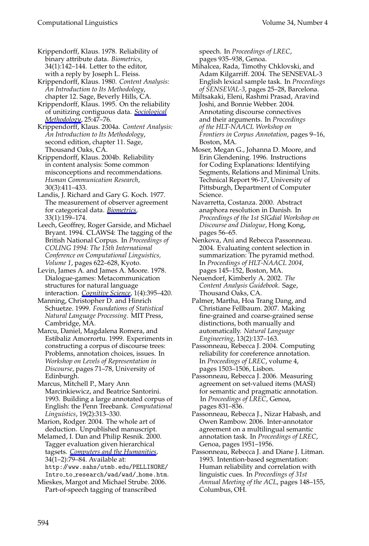#### Computational Linguistics Volume 34, Number 4

- Krippendorff, Klaus. 1978. Reliability of binary attribute data. *Biometrics*, 34(1):142–144. Letter to the editor, with a reply by Joseph L. Fleiss.
- Krippendorff, Klaus. 1980. *Content Analysis: An Introduction to Its Methodology*,
- chapter 12. Sage, Beverly Hills, CA. Krippendorff, Klaus. 1995. On the reliability of unitizing contiguous data. *Sociological Methodology*, 25:47–76.
- Krippendorff, Klaus. 2004a. *Content Analysis: An Introduction to Its Methodology*, second edition, chapter 11. Sage, Thousand Oaks, CA.
- Krippendorff, Klaus. 2004b. Reliability in content analysis: Some common misconceptions and recommendations. *Human Communication Research*, 30(3):411–433.
- Landis, J. Richard and Gary G. Koch. 1977. The measurement of observer agreement for categorical data. *Biometrics*, 33(1):159–174.
- Leech, Geoffrey, Roger Garside, and Michael Bryant. 1994. CLAWS4: The tagging of the British National Corpus. In *Proceedings of COLING 1994: The 15th International Conference on Computational Linguistics, Volume 1*, pages 622–628, Kyoto.
- Levin, James A. and James A. Moore. 1978. Dialogue-games: Metacommunication structures for natural language interaction. *Cognitive Science*, 1(4):395–420.
- Manning, Christopher D. and Hinrich Schuetze. 1999. *Foundations of Statistical Natural Language Processing*. MIT Press, Cambridge, MA.
- Marcu, Daniel, Magdalena Romera, and Estibaliz Amorrortu. 1999. Experiments in constructing a corpus of discourse trees: Problems, annotation choices, issues. In *Workshop on Levels of Representation in Discourse*, pages 71–78, University of Edinburgh.
- Marcus, Mitchell P., Mary Ann Marcinkiewicz, and Beatrice Santorini. 1993. Building a large annotated corpus of English: the Penn Treebank. *Computational Linguistics*, 19(2):313–330.
- Marion, Rodger. 2004. The whole art of deduction. Unpublished manuscript.
- Melamed, I. Dan and Philip Resnik. 2000. Tagger evaluation given hierarchical tagsets. *Computers and the Humanities*, 34(1–2):79–84. Available at: http://www.sahs/utmb.edu/PELLINORE/ Intro to research/wad/wad/ home.htm.

Mieskes, Margot and Michael Strube. 2006. Part-of-speech tagging of transcribed

speech. In *Proceedings of LREC*, pages 935–938, Genoa.

- Mihalcea, Rada, Timothy Chklovski, and Adam Kilgarriff. 2004. The SENSEVAL-3 English lexical sample task. In *Proceedings of SENSEVAL-3*, pages 25–28, Barcelona.
- Miltsakaki, Eleni, Rashmi Prasad, Aravind Joshi, and Bonnie Webber. 2004. Annotating discourse connectives and their arguments. In *Proceedings of the HLT-NAACL Workshop on Frontiers in Corpus Annotation*, pages 9–16, Boston, MA.
- Moser, Megan G., Johanna D. Moore, and Erin Glendening. 1996. Instructions for Coding Explanations: Identifying Segments, Relations and Minimal Units. Technical Report 96-17, University of Pittsburgh, Department of Computer Science.
- Navarretta, Costanza. 2000. Abstract anaphora resolution in Danish. In *Proceedings of the 1st SIGdial Workshop on Discourse and Dialogue*, Hong Kong, pages 56–65.
- Nenkova, Ani and Rebecca Passonneau. 2004. Evaluating content selection in summarization: The pyramid method. In *Proceedings of HLT-NAACL 2004*, pages 145–152, Boston, MA.
- Neuendorf, Kimberly A. 2002. *The Content Analysis Guidebook*. Sage, Thousand Oaks, CA.
- Palmer, Martha, Hoa Trang Dang, and Christiane Fellbaum. 2007. Making fine-grained and coarse-grained sense distinctions, both manually and automatically. *Natural Language Engineering*, 13(2):137–163.
- Passonneau, Rebecca J. 2004. Computing reliability for coreference annotation. In *Proceedings of LREC*, volume 4, pages 1503–1506, Lisbon.
- Passonneau, Rebecca J. 2006. Measuring agreement on set-valued items (MASI) for semantic and pragmatic annotation. In *Proceedings of LREC*, Genoa, pages 831–836.
- Passonneau, Rebecca J., Nizar Habash, and Owen Rambow. 2006. Inter-annotator agreement on a multilingual semantic annotation task. In *Proceedings of LREC*, Genoa, pages 1951–1956.
- Passonneau, Rebecca J. and Diane J. Litman. 1993. Intention-based segmentation: Human reliability and correlation with linguistic cues. In *Proceedings of 31st Annual Meeting of the ACL*, pages 148–155, Columbus, OH.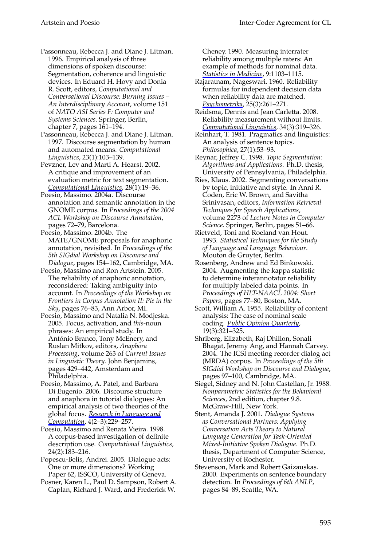Passonneau, Rebecca J. and Diane J. Litman. 1996. Empirical analysis of three dimensions of spoken discourse: Segmentation, coherence and linguistic devices. In Eduard H. Hovy and Donia R. Scott, editors, *Computational and Conversational Discourse: Burning Issues – An Interdisciplinary Account*, volume 151 of *NATO ASI Series F: Computer and Systems Sciences*. Springer, Berlin, chapter 7, pages  $161-194$ .

Passonneau, Rebecca J. and Diane J. Litman. 1997. Discourse segmentation by human and automated means. *Computational Linguistics*, 23(1):103–139.

Pevzner, Lev and Marti A. Hearst. 2002. A critique and improvement of an evaluation metric for text segmentation. *Computational Linguistics*, 28(1):19–36.

Poesio, Massimo. 2004a. Discourse annotation and semantic annotation in the GNOME corpus. In *Proceedings of the 2004 ACL Workshop on Discourse Annotation*, pages 72–79, Barcelona.

Poesio, Massimo. 2004b. The MATE/GNOME proposals for anaphoric annotation, revisited. In *Proceedings of the 5th SIGdial Workshop on Discourse and Dialogue*, pages 154–162, Cambridge, MA.

Poesio, Massimo and Ron Artstein. 2005. The reliability of anaphoric annotation, reconsidered: Taking ambiguity into account. In *Proceedings of the Workshop on Frontiers in Corpus Annotation II: Pie in the Sky*, pages 76–83, Ann Arbor, MI.

Poesio, Massimo and Natalia N. Modjeska. 2005. Focus, activation, and *this*-noun phrases: An empirical study. In António Branco, Tony McEnery, and Ruslan Mitkov, editors, *Anaphora Processing*, volume 263 of *Current Issues in Linguistic Theory*. John Benjamins, pages 429–442, Amsterdam and Philadelphia.

Poesio, Massimo, A. Patel, and Barbara Di Eugenio. 2006. Discourse structure and anaphora in tutorial dialogues: An empirical analysis of two theories of the global focus. *Research in Language and Computation*, 4(2–3):229–257.

Poesio, Massimo and Renata Vieira. 1998. A corpus-based investigation of definite description use. *Computational Linguistics*, 24(2):183–216.

Popescu-Belis, Andrei. 2005. Dialogue acts: One or more dimensions? Working Paper 62, ISSCO, University of Geneva.

Posner, Karen L., Paul D. Sampson, Robert A. Caplan, Richard J. Ward, and Frederick W.

Artstein and Poesio **Inter-Coder Agreement for CL** 

Cheney. 1990. Measuring interrater reliability among multiple raters: An example of methods for nominal data. *Statistics in Medicine*, 9:1103–1115.

Rajaratnam, Nageswari. 1960. Reliability formulas for independent decision data when reliability data are matched. *Psychometrika*, 25(3):261–271.

Reidsma, Dennis and Jean Carletta. 2008. Reliability measurement without limits. *Computational Linguistics*, 34(3):319–326.

Reinhart, T. 1981. Pragmatics and linguistics: An analysis of sentence topics. *Philosophica*, 27(1):53–93.

Reynar, Jeffrey C. 1998. *Topic Segmentation: Algorithms and Applications*. Ph.D. thesis, University of Pennsylvania, Philadelphia.

Ries, Klaus. 2002. Segmenting conversations by topic, initiative and style. In Anni R. Coden, Eric W. Brown, and Savitha Srinivasan, editors, *Information Retrieval Techniques for Speech Applications*, volume 2273 of *Lecture Notes in Computer Science*. Springer, Berlin, pages 51–66.

Rietveld, Toni and Roeland van Hout. 1993. *Statistical Techniques for the Study of Language and Language Behaviour*. Mouton de Gruyter, Berlin.

Rosenberg, Andrew and Ed Binkowski. 2004. Augmenting the kappa statistic to determine interannotator reliability for multiply labeled data points. In *Proceedings of HLT-NAACL 2004: Short Papers*, pages 77–80, Boston, MA.

Scott, William A. 1955. Reliability of content analysis: The case of nominal scale coding. *Public Opinion Quarterly*, 19(3):321–325.

Shriberg, Elizabeth, Raj Dhillon, Sonali Bhagat, Jeremy Ang, and Hannah Carvey. 2004. The ICSI meeting recorder dialog act (MRDA) corpus. In *Proceedings of the 5th SIGdial Workshop on Discourse and Dialogue*, pages 97–100, Cambridge, MA.

Siegel, Sidney and N. John Castellan, Jr. 1988. *Nonparametric Statistics for the Behavioral Sciences*, 2nd edition, chapter 9.8. McGraw-Hill, New York.

Stent, Amanda J. 2001. *Dialogue Systems as Conversational Partners: Applying Conversation Acts Theory to Natural Language Generation for Task-Oriented Mixed-Initiative Spoken Dialogue*. Ph.D. thesis, Department of Computer Science, University of Rochester.

Stevenson, Mark and Robert Gaizauskas. 2000. Experiments on sentence boundary detection. In *Proceedings of 6th ANLP*, pages 84–89, Seattle, WA.